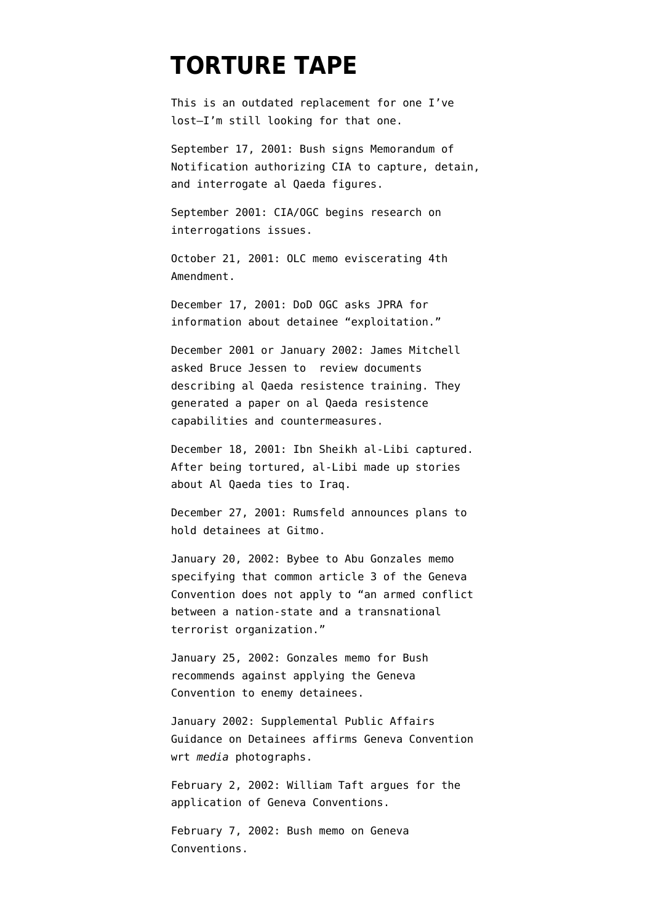## **[TORTURE TAPE](https://www.emptywheel.net/portfolio-item/torture-tape-timeline/)**

This is an outdated replacement for one I've lost–I'm still looking for that one.

September 17, 2001: Bush signs Memorandum of Notification authorizing CIA to capture, detain, and interrogate al Qaeda figures.

September 2001: CIA/OGC [begins](http://www.aclu.org/oigreport) research on interrogations issues.

October 21, 2001: OLC memo eviscerating 4th Amendment.

December 17, 2001: DoD OGC asks JPRA for information about detainee "exploitation."

December 2001 or January 2002: James Mitchell asked Bruce Jessen to review documents describing al Qaeda resistence training. They generated a paper on al Qaeda resistence capabilities and countermeasures.

December 18, 2001: Ibn Sheikh al-Libi captured. After being tortured, al-Libi made up stories about Al Qaeda ties to Iraq.

December 27, 2001: Rumsfeld announces plans to hold detainees at Gitmo.

January 20, 2002: Bybee to Abu Gonzales memo specifying that common article 3 of the Geneva Convention does not apply to "an armed conflict between a nation-state and a transnational terrorist organization."

January 25, 2002: Gonzales memo for Bush [recommends](http://news.lp.findlaw.com/hdocs/docs/torture/gnzls12502mem2gwb.html) against applying the Geneva Convention to enemy detainees.

January 2002: Supplemental Public Affairs Guidance on Detainees affirms Geneva Convention wrt *media* photographs.

February 2, 2002: William Taft [argues](http://www.google.com/url?sa=t&source=web&ct=res&cd=1&url=http%3A%2F%2Fwww.fas.org%2Fsgp%2Fothergov%2Ftaft.pdf&ei=A1T0SZCgF5O-MuKU1bgP&usg=AFQjCNHbvS0lp-4Y4b6ME6r4g8Bu6FUDlg) for the application of Geneva Conventions.

February 7, 2002: Bush memo on Geneva Conventions.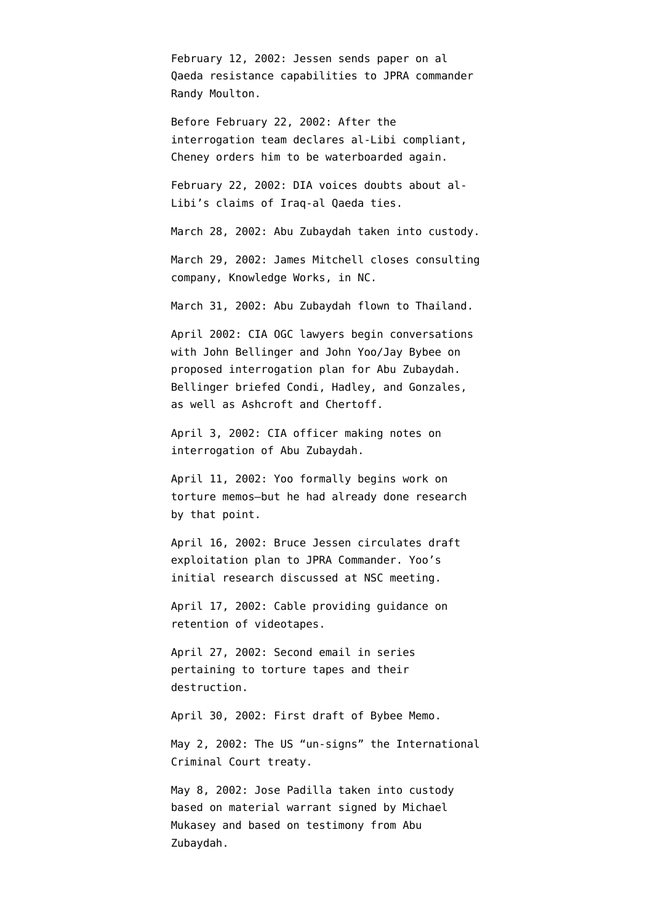February 12, 2002: Jessen sends paper on al Qaeda resistance capabilities to JPRA commander Randy Moulton.

Before February 22, 2002: After the interrogation team declares al-Libi compliant, Cheney [orders him](http://www.thewashingtonnote.com/archives/2009/05/the_truth_about/) to be waterboarded again.

February 22, 2002: DIA [voices doubts](http://intelligence.senate.gov/phaseiiaccuracy.pdf) about al-Libi's claims of Iraq-al Qaeda ties.

March 28, 2002: Abu Zubaydah taken into custody.

March 29, 2002: James Mitchell [closes](http://www.google.com/url?sa=t&source=web&ct=res&cd=5&url=http%3A%2F%2Fwww.vanityfair.com%2Fpolitics%2Ffeatures%2F2007%2F07%2Ftorture200707%3FcurrentPage%3D2&ei=uwH0Sa6GKpfCMpzlsMUP&usg=AFQjCNGhDAOjnx7c55Nyi9TcPEoFg-xO6Q) consulting company, Knowledge Works, in NC.

March 31, 2002: Abu Zubaydah [flown](http://www.washingtonpost.com/wp-dyn/content/article/2007/12/17/AR2007121702151.html?hpid=topnews) to Thailand.

April 2002: CIA OGC lawyers [begin](http://intelligence.senate.gov/pdfs/olcopinion.pdf) conversations with John Bellinger and John Yoo/Jay Bybee on proposed interrogation plan for Abu Zubaydah. Bellinger briefed Condi, Hadley, and Gonzales, as well as Ashcroft and Chertoff.

April 3, 2002: CIA officer [making notes](http://www.aclu.org/safefree/torture/40890lgl20090831.html) on interrogation of Abu Zubaydah.

April 11, 2002: Yoo formally begins work on torture memos–but he had already done research by that point.

April 16, 2002: Bruce Jessen [circulates](http://armed-services.senate.gov/Publications/Detainee%20Report%20Final_April%2022%202009.pdf) draft exploitation plan to JPRA Commander. Yoo's initial research discussed at NSC meeting.

April 17, 2002: Cable [providing](http://www.aclu.org/files/assets/20091120_Govt_Para_4_55_Hardcopy_Vaughn_Index.pdf) guidance on retention of videotapes.

April 27, 2002: Second email in [series](http://www.aclu.org/files/assets/20091120_Govt_Para_4_55_Hardcopy_Vaughn_Index.pdf) pertaining to torture tapes and their destruction.

April 30, 2002: First draft of Bybee Memo.

May 2, 2002: The US ["un-signs](http://news.bbc.co.uk/2/hi/americas/1970312.stm)" the International Criminal Court treaty.

May 8, 2002: Jose Padilla taken into custody based on material warrant [signed by](http://www.opinionjournal.com/extra/?id=110010505) Michael Mukasey and based on testimony from Abu Zubaydah.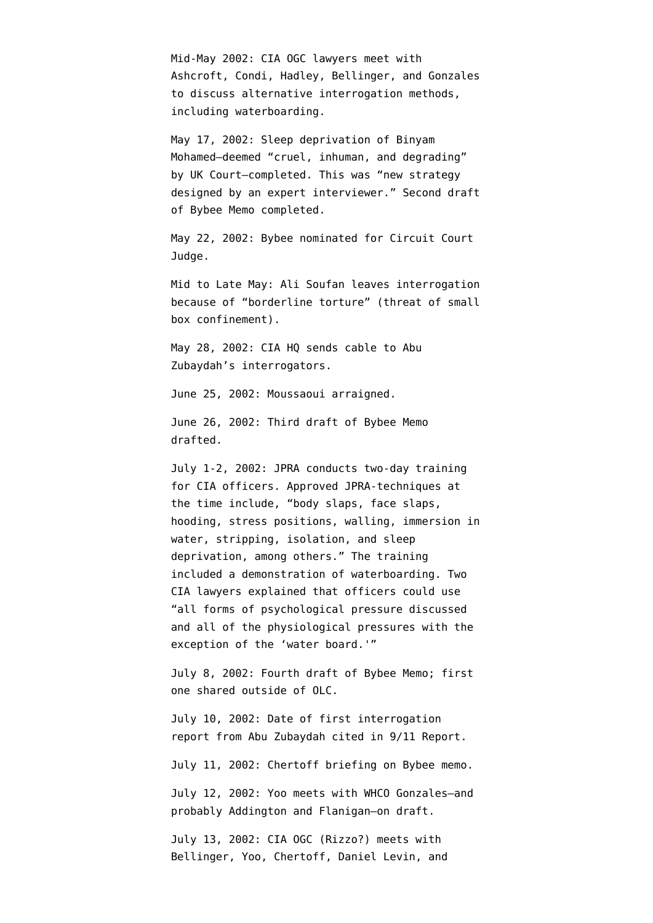Mid-May 2002: CIA OGC lawyers [meet](http://intelligence.senate.gov/pdfs/olcopinion.pdf) with Ashcroft, Condi, Hadley, Bellinger, and Gonzales to discuss alternative interrogation methods, including waterboarding.

May 17, 2002: Sleep deprivation of Binyam Mohamed–deemed "cruel, inhuman, and degrading" by UK Court[–completed](http://www.guardian.co.uk/world/2010/feb/10/binyam-mohamed-torture-evidence-paragraphs). This was "new strategy designed by an expert interviewer." Second draft of Bybee Memo completed.

May 22, 2002: Bybee nominated for Circuit Court Judge.

Mid to Late May: Ali Soufan [leaves](http://www.usdoj.gov/oig/special/s0805/final.pdf) interrogation because of "borderline torture" (threat of small box confinement).

May 28, 2002: CIA HQ [sends](http://www.aclu.org/torturefoia/legaldocuments/torturefoia_list_20090518.pdf) cable to Abu Zubaydah's interrogators.

June 25, 2002: Moussaoui [arraigned](http://www.courttv.com/trials/moussaoui/062502_ap.html).

June 26, 2002: Third draft of Bybee Memo drafted.

July 1-2, 2002: JPRA [conducts](http://armed-services.senate.gov/Publications/Detainee%20Report%20Final_April%2022%202009.pdf) two-day training for CIA officers. Approved JPRA-techniques at the time include, "body slaps, face slaps, hooding, stress positions, walling, immersion in water, stripping, isolation, and sleep deprivation, among others." The training included a demonstration of waterboarding. Two CIA lawyers explained that officers could use "all forms of psychological pressure discussed and all of the physiological pressures with the exception of the 'water board.'"

July 8, 2002: Fourth draft of Bybee Memo; first one shared outside of OLC.

July 10, 2002: Date of first interrogation report from Abu Zubaydah [cited](http://emptywheel.firedoglake.com/2009/04/22/abu-zubaydah-waterboarded-83-times-for-10-pieces-of-intelligence/) in 9/11 Report.

July 11, 2002: Chertoff briefing on Bybee memo.

July 12, 2002: Yoo meets with WHCO Gonzales–and probably Addington and Flanigan–on draft.

July 13, 2002: CIA OGC (Rizzo?) [meets](http://emptywheel.firedoglake.com/wp-admin/July%2017,%202002:%20Tenet%20met%20with%20Condi,%20who%20advised%20CIA%20could%20proceed%20with%20torture,%20subject%20to%20a%20determination%20of%20legality%20by%20OLC.) with Bellinger, Yoo, Chertoff, Daniel Levin, and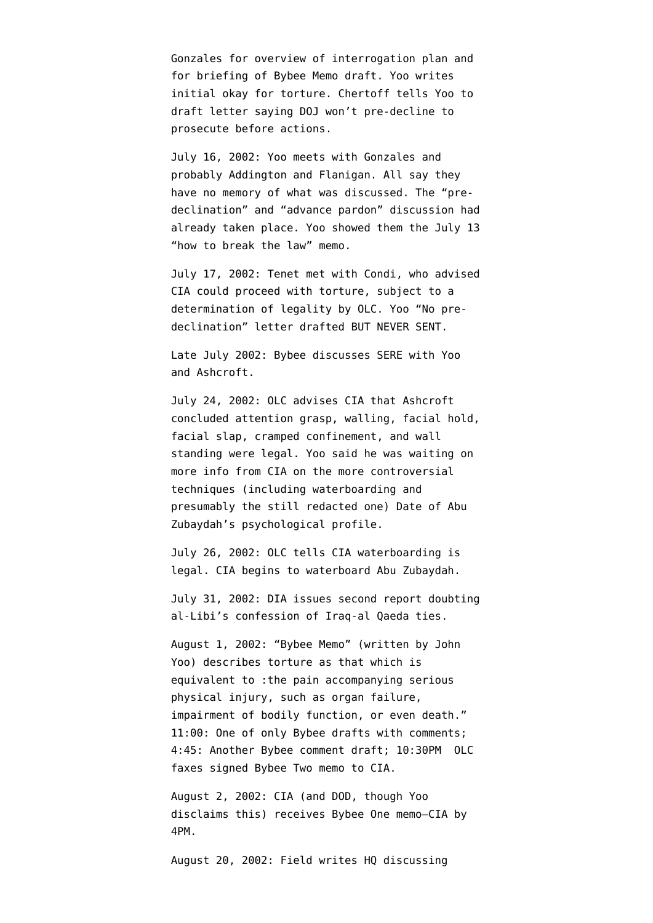Gonzales for overview of interrogation plan and for briefing of Bybee Memo draft. Yoo [writes](http://emptywheel.firedoglake.com/files/28/files//2009/08/020713-yoo-rizzo.pdf) initial okay for torture. Chertoff tells Yoo to draft letter saying DOJ won't pre-decline to prosecute before actions.

July 16, 2002: Yoo meets with Gonzales and probably Addington and Flanigan. All say they have no memory of what was discussed. The "predeclination" and "advance pardon" discussion had already taken place. Yoo showed them the July 13 "how to break the law" memo.

July 17, 2002: Tenet met with Condi, who advised CIA could proceed with torture, subject to a determination of legality by OLC. Yoo "No predeclination" letter drafted BUT NEVER SENT.

Late July 2002: Bybee [discusses](http://armed-services.senate.gov/Publications/Detainee%20Report%20Final_April%2022%202009.pdf) SERE with Yoo and Ashcroft.

July 24, 2002: OLC advises CIA that Ashcroft concluded attention grasp, walling, facial hold, facial slap, cramped confinement, and wall standing were legal. Yoo said he was waiting on more info from CIA on the more controversial techniques (including waterboarding and presumably the still redacted one) [Date](http://www.aclu.org/torturefoia/released/082409/olcremand/2004olc4.pdf) of Abu Zubaydah's psychological profile.

July 26, 2002: OLC tells CIA waterboarding is legal. CIA begins to waterboard Abu Zubaydah.

July 31, 2002: DIA [issues](http://emptywheel.firedoglake.com/wp-admin/July%202002:%20DIA%20issues%20second%20report%20doubting%20al-Libi%27s%20confession%20of%20Iraq-al%20Qaeda%20ties.) second report doubting al-Libi's confession of Iraq-al Qaeda ties.

August 1, 2002: "Bybee Memo" (written by John Yoo) describes torture as that which is equivalent to :the pain accompanying serious physical injury, such as organ failure, impairment of bodily function, or even death." 11:00: One of only Bybee drafts with comments; 4:45: Another Bybee comment draft; 10:30PM OLC faxes signed Bybee Two memo to CIA.

August 2, 2002: CIA (and DOD, though Yoo disclaims this) receives Bybee One memo–CIA by 4PM.

August 20, 2002: Field [writes](http://www.aclu.org/files/assets/20091120_Govt_Para_4_55_Hardcopy_Vaughn_Index.pdf) HQ discussing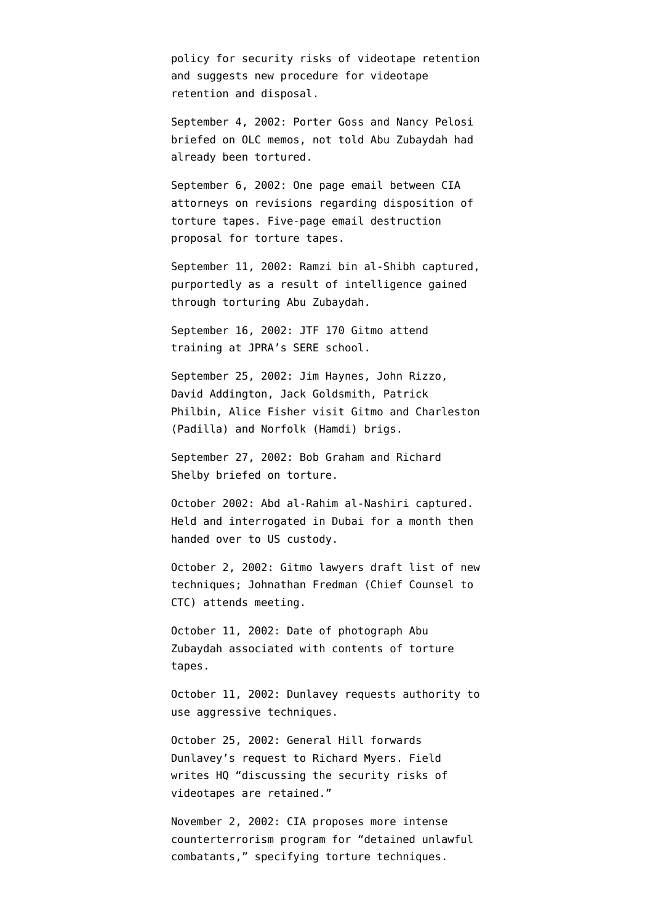policy for security risks of videotape retention and suggests new procedure for videotape retention and disposal.

September 4, 2002: Porter Goss and Nancy Pelosi [briefed](http://static1.firedoglake.com/28/files//2009/05/2009-05-06-eit-enclosure0001.pdf) on OLC memos, [not told](http://emptywheel.firedoglake.com/2009/04/25/porter-goss-attacks-on-pelosi-and-harman-but-admits-cia-broke-the-law/) Abu Zubaydah had already been tortured.

September 6, 2002: One page [email](http://www.aclu.org/files/assets/20091120_Govt_Para_4_55_Hardcopy_Vaughn_Index.pdf) between CIA attorneys on revisions regarding disposition of torture tapes. Five-page email destruction proposal for torture tapes.

September 11, 2002: Ramzi bin al-Shibh captured, [purportedly](http://www.washingtonpost.com/wp-dyn/content/article/2007/12/17/AR2007121702151.html?hpid=topnews) as a result of intelligence gained through torturing Abu Zubaydah.

September 16, 2002: JTF 170 Gitmo attend training at JPRA's SERE school.

September 25, 2002: Jim Haynes, John Rizzo, David Addington, Jack Goldsmith, Patrick Philbin, Alice Fisher visit Gitmo and Charleston (Padilla) and Norfolk (Hamdi) brigs.

September 27, 2002: Bob Graham and Richard Shelby [briefed](http://static1.firedoglake.com/28/files//2009/05/2009-05-06-eit-enclosure0001.pdf) on torture.

October 2002: Abd al-Rahim al-Nashiri [captured.](http://www.google.com/url?sa=t&source=web&ct=res&cd=1&url=http%3A%2F%2Fwww.nybooks.com%2Ficrc-report.pdf&ei=k33zSZ2QPIOMtge8ibGjDw&usg=AFQjCNHXMJ6SZ1Q3LiiwnXFpNKw-jYnAiA) Held and interrogated in Dubai for a month then handed over to US custody.

October 2, 2002: Gitmo lawyers [draft](http://armed-services.senate.gov/Publications/Detainee%20Report%20Final_April%2022%202009.pdf) list of new techniques; Johnathan Fredman (Chief Counsel to CTC) attends meeting.

October 11, 2002: Date of photograph Abu Zubaydah [associated](http://www.aclu.org/torturefoia/legaldocuments/torturefoia_list_20090518.pdf) with contents of torture tapes.

October 11, 2002: Dunlavey requests authority to use aggressive techniques.

October 25, 2002: General Hill forwards Dunlavey's request to Richard Myers. Field [writes](http://www.aclu.org/files/assets/20091120_Govt_Para_4_55_Hardcopy_Vaughn_Index.pdf) HQ "discussing the security risks of videotapes are retained."

November 2, 2002: CIA [proposes](http://www.aclu.org/safefree/torture/40890lgl20090831.html) more intense counterterrorism program for "detained unlawful combatants," specifying torture techniques.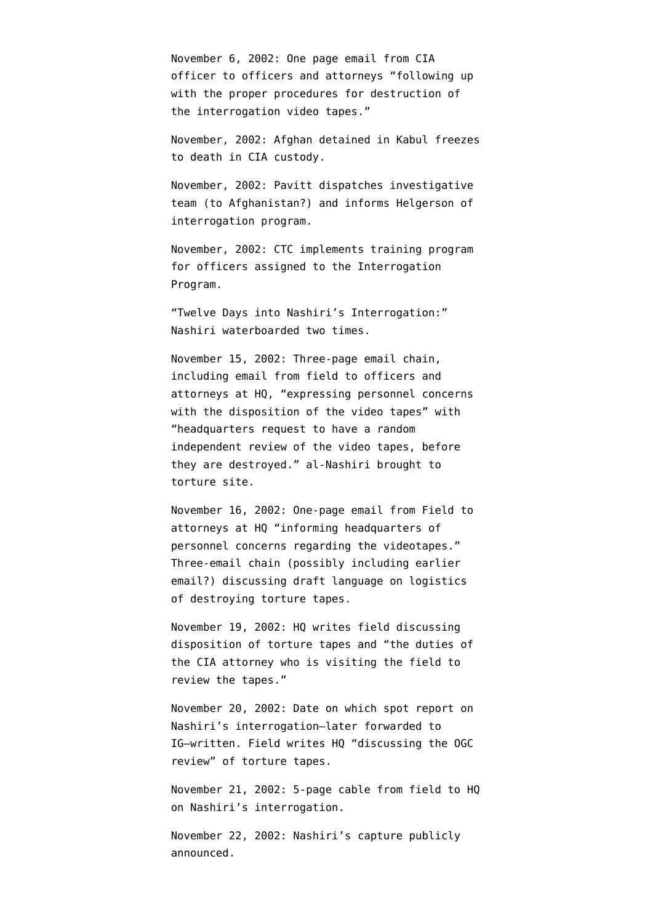November 6, 2002: One page [email](http://www.aclu.org/files/assets/20091120_Govt_Para_4_55_Hardcopy_Vaughn_Index.pdf) from CIA officer to officers and attorneys "following up with the proper procedures for destruction of the interrogation video tapes."

November, 2002: Afghan detained in Kabul [freezes](http://www.nytimes.com/2007/12/30/washington/30intel.html?pagewanted=3&_r=1) [to death](http://www.nytimes.com/2007/12/30/washington/30intel.html?pagewanted=3&_r=1) in CIA custody.

November, 2002: Pavitt [dispatches](http://www.aclu.org/oigreport) investigative team (to Afghanistan?) and informs Helgerson of interrogation program.

November, 2002: CTC [implements](http://www.aclu.org/oigreport) training program for officers assigned to the Interrogation Program.

"Twelve Days into Nashiri's Interrogation:" Nashiri [waterboarded](http://stream.luxmedia501.com/?file=clients/aclu/olc_05302005_bradbury.pdf&method=dl) two times.

November 15, 2002: Three-page email [chain,](http://www.aclu.org/files/assets/20091120_Govt_Para_4_55_Hardcopy_Vaughn_Index.pdf) including email from field to officers and attorneys at HQ, "expressing personnel concerns with the disposition of the video tapes" with "headquarters request to have a random independent review of the video tapes, before they are destroyed." al-Nashiri [brought](http://judiciary.house.gov/hearings/pdf/OPRFirstReport081222.pdf) to torture site.

November 16, 2002: One-page [email](http://www.aclu.org/files/assets/20091120_Govt_Para_4_55_Hardcopy_Vaughn_Index.pdf) from Field to attorneys at HQ "informing headquarters of personnel concerns regarding the videotapes." Three-email chain (possibly including earlier email?) [discussing](http://www.aclu.org/files/assets/20091120_Govt_Para_4_55_Hardcopy_Vaughn_Index.pdf) draft language on logistics of destroying torture tapes.

November 19, 2002: HQ [writes](http://www.aclu.org/files/assets/20091120_Govt_Para_4_55_Hardcopy_Vaughn_Index.pdf) field discussing disposition of torture tapes and "the duties of the CIA attorney who is visiting the field to review the tapes."

November 20, 2002: Date on which spot report on Nashiri's interrogation–later [forwarded](http://www.aclu.org/torturefoia/released/082409/cia_ig/oig196.pdf) to IG–written. Field [writes](http://www.aclu.org/files/assets/20091120_Govt_Para_4_55_Hardcopy_Vaughn_Index.pdf) HQ "discussing the OGC review" of torture tapes.

November 21, 2002: 5-page [cable](http://www.aclu.org/safefree/torture/40890lgl20090831.html) from field to HQ on Nashiri's interrogation.

November 22, 2002: Nashiri's capture publicly announced.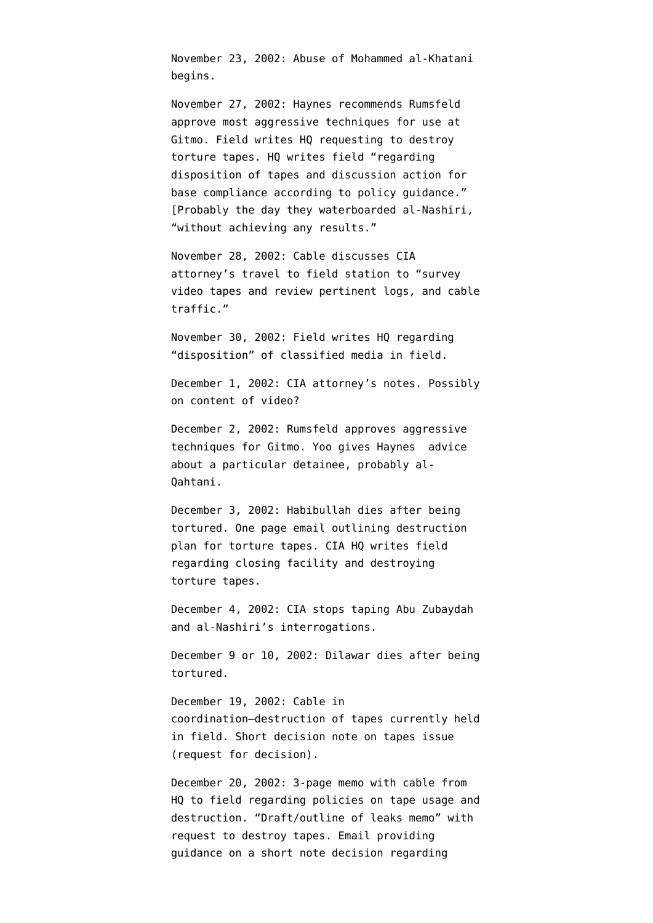November 23, 2002: Abuse of Mohammed al-Khatani begins.

November 27, 2002: Haynes recommends Rumsfeld approve most aggressive techniques for use at Gitmo. Field [writes](http://www.aclu.org/files/assets/20091120_Govt_Para_4_55_Hardcopy_Vaughn_Index.pdf) HQ requesting to destroy torture tapes. HQ [writes](http://www.aclu.org/files/assets/20091120_Govt_Para_4_55_Hardcopy_Vaughn_Index.pdf) field "regarding disposition of tapes and discussion action for base compliance according to policy guidance." [Probably the day they waterboarded al-Nashiri, "without achieving any results."

November 28, 2002: Cable [discusses](http://www.aclu.org/files/assets/20091120_Govt_Para_4_55_Hardcopy_Vaughn_Index.pdf) CIA attorney's travel to field station to "survey video tapes and review pertinent logs, and cable traffic."

November 30, 2002: Field [writes](http://www.aclu.org/files/assets/20091120_Govt_Para_4_55_Hardcopy_Vaughn_Index.pdf) HQ regarding "disposition" of classified media in field.

December 1, 2002: CIA attorney's [notes.](http://www.aclu.org/files/assets/20091120_Govt_Para_4_55_Hardcopy_Vaughn_Index.pdf) Possibly on content of video?

December 2, 2002: Rumsfeld approves aggressive techniques for Gitmo. Yoo [gives](http://judiciary.house.gov/hearings/pdf/OPRFirstReport081222.pdf) Haynes advice about a particular detainee, probably al-Qahtani.

December 3, 2002: Habibullah [dies](http://emptywheel.firedoglake.com/2009/05/19/if-the-detainee-dies-doing-sleep-deprivation-is-wrong/) after being tortured. One page email [outlining](http://www.aclu.org/files/assets/20091120_Govt_Para_4_55_Hardcopy_Vaughn_Index.pdf) destruction plan for torture tapes. CIA HQ [writes](http://www.aclu.org/files/assets/20091120_Govt_Para_4_55_Hardcopy_Vaughn_Index.pdf) field regarding closing facility and destroying torture tapes.

December 4, 2002: CIA [stops taping](http://www.aclu.org/torturefoia/legaldocuments/torturefoia_list_20090518.pdf) Abu Zubaydah and al-Nashiri's interrogations.

December 9 or 10, 2002: Dilawar [dies](http://emptywheel.firedoglake.com/2009/05/19/if-the-detainee-dies-doing-sleep-deprivation-is-wrong/) after being tortured.

December 19, 2002: Cable in coordination[–destruction](http://www.aclu.org/files/assets/20091120_Govt_Para_4_55_Hardcopy_Vaughn_Index.pdf) of tapes currently held in field. Short [decision note](http://www.aclu.org/files/assets/20091120_Govt_Para_4_55_Hardcopy_Vaughn_Index.pdf) on tapes issue (request for decision).

December 20, 2002: 3-page [memo](http://www.aclu.org/files/assets/20091120_Govt_Para_4_55_Hardcopy_Vaughn_Index.pdf) with cable from HQ to field regarding policies on tape usage and destruction. ["Draft/outline of leaks memo"](http://www.aclu.org/files/assets/20091120_Govt_Para_4_55_Hardcopy_Vaughn_Index.pdf) with request to destroy tapes. Email [providing](http://www.aclu.org/files/assets/20091120_Govt_Para_4_55_Hardcopy_Vaughn_Index.pdf) guidance on a short note decision regarding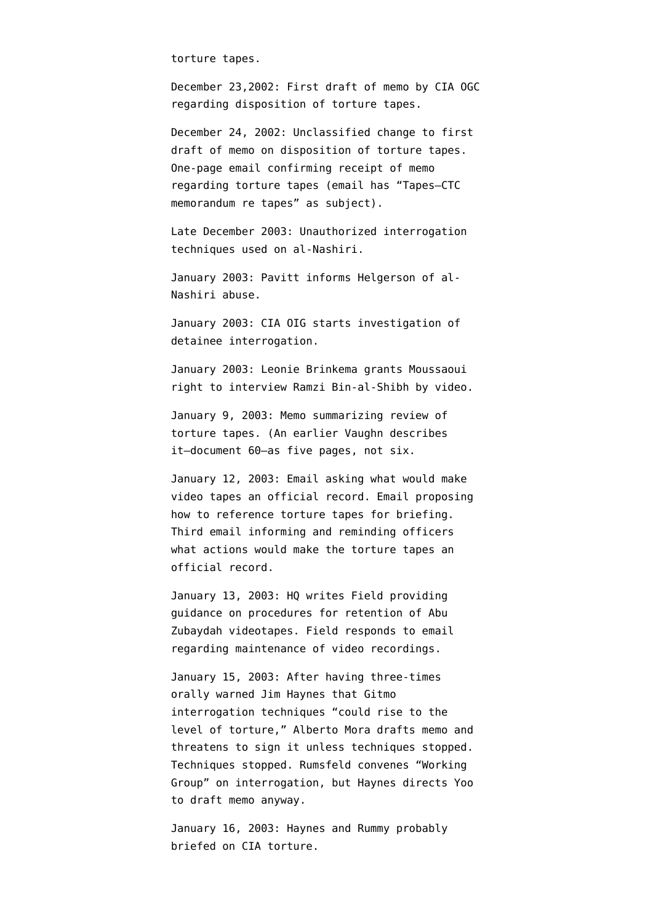torture tapes.

December 23,2002: [First draft](http://www.aclu.org/files/assets/20091120_Govt_Para_4_55_Hardcopy_Vaughn_Index.pdf) of memo by CIA OGC regarding disposition of torture tapes.

December 24, 2002: Unclassified [change](http://www.aclu.org/files/assets/20091120_Govt_Para_4_55_Hardcopy_Vaughn_Index.pdf) to first draft of memo on disposition of torture tapes. One-page email [confirming](http://www.aclu.org/files/assets/20091120_Govt_Para_4_55_Hardcopy_Vaughn_Index.pdf) receipt of memo regarding torture tapes (email has "Tapes–CTC memorandum re tapes" as subject).

Late December 2003: Unauthorized interrogation techniques used on al-Nashiri.

January 2003: Pavitt [informs](http://www.aclu.org/oigreport) Helgerson of al-Nashiri abuse.

January 2003: CIA OIG [starts](http://emptywheel.firedoglake.com/2008/01/13/cia-inspector-general-we-never-had-any-torture-tapes/) investigation of detainee interrogation.

January 2003: Leonie Brinkema grants Moussaoui right to interview Ramzi Bin-al-Shibh by video.

January 9, 2003: Memo [summarizing](http://www.aclu.org/files/assets/20091120_Govt_Para_4_55_Hardcopy_Vaughn_Index.pdf) review of torture tapes. (An earlier Vaughn describes it–[document 60](http://static1.firedoglake.com/28/files//2009/06/090608-vaughn-2.pdf)–as five pages, not six.

January 12, 2003: Email [asking](http://www.aclu.org/files/assets/20091120_Govt_Para_4_55_Hardcopy_Vaughn_Index.pdf) what would make video tapes an official record. Email [proposing](http://www.aclu.org/files/assets/20091120_Govt_Para_4_55_Hardcopy_Vaughn_Index.pdf) how to reference torture tapes for briefing. Third email [informing and reminding](http://www.aclu.org/files/assets/20091120_Govt_Para_4_55_Hardcopy_Vaughn_Index.pdf) officers what actions would make the torture tapes an official record.

January 13, 2003: HQ [writes](http://www.aclu.org/files/assets/20091120_Govt_Para_4_55_Hardcopy_Vaughn_Index.pdf) Field providing guidance on procedures for retention of Abu Zubaydah videotapes. Field responds to email regarding maintenance of video recordings.

January 15, 2003: After having three-times orally warned Jim Haynes that Gitmo interrogation techniques "could rise to the level of torture," Alberto Mora drafts memo and threatens to sign it unless techniques stopped. Techniques stopped. Rumsfeld convenes "Working Group" on interrogation, but Haynes directs Yoo to draft memo anyway.

January 16, 2003: Haynes and Rummy probably briefed on CIA torture.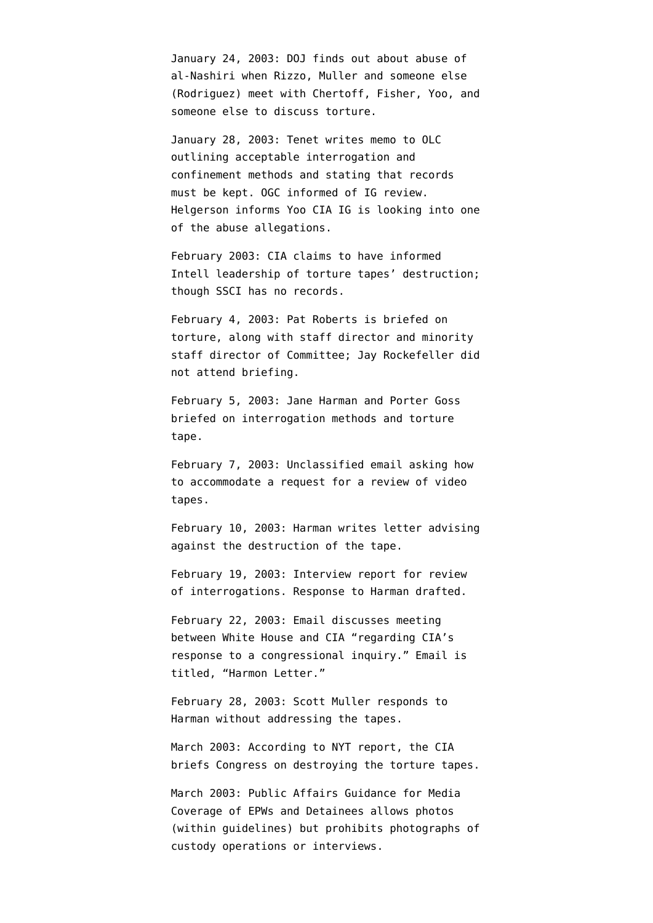January 24, 2003: DOJ [finds out](http://judiciary.house.gov/hearings/pdf/OPRFirstReport081222.pdf) about abuse of al-Nashiri when Rizzo, Muller and someone else (Rodriguez) meet with Chertoff, Fisher, Yoo, and someone else to discuss torture.

January 28, 2003: Tenet [writes](http://emptywheel.firedoglake.com/files/28/files//2008/07/030128-tenet-memo-to-olc.pdf) memo to OLC outlining acceptable interrogation and confinement methods and stating that records must be kept. OGC [informed](http://www.aclu.org/safefree/torture/40890lgl20090831.html) of IG review. Helgerson informs Yoo CIA IG is looking into one of the abuse allegations.

February 2003: CIA [claims](http://www.warandpiece.com/blogdirs/006826.html#more) to have informed Intell leadership of torture tapes' destruction; though SSCI has no records.

February 4, 2003: Pat Roberts is [briefed](http://static1.firedoglake.com/28/files//2009/05/2009-05-06-eit-enclosure0001.pdf) on torture, along with staff director and minority staff director of Committee; Jay Rockefeller [did](http://intelligence.senate.gov/pdfs/olcopinion.pdf) [not attend](http://intelligence.senate.gov/pdfs/olcopinion.pdf) briefing.

February 5, 2003: Jane Harman and Porter Goss [briefed](http://www.house.gov/apps/list/press/ca36_harman/Jan_3.shtml) on interrogation methods and torture tape.

February 7, 2003: Unclassified [email](http://www.aclu.org/files/assets/20091120_Govt_Para_4_55_Hardcopy_Vaughn_Index.pdf) asking how to accommodate a request for a review of video tapes.

February 10, 2003: Harman writes letter [advising](http://www.house.gov/apps/list/press/ca36_harman/Jan_3.shtml) against the destruction of the tape.

February 19, 2003: Interview report for review of interrogations. Response to Harman [drafted](http://www.aclu.org/files/assets/20091120_Govt_Para_4_55_Hardcopy_Vaughn_Index.pdf).

February 22, 2003: Email [discusses](http://www.aclu.org/files/assets/20091120_Govt_Para_4_55_Hardcopy_Vaughn_Index.pdf) meeting between White House and CIA "regarding CIA's response to a congressional inquiry." Email is titled, "Harmon Letter."

February 28, 2003: Scott Muller [responds](http://www.house.gov/apps/list/press/ca36_harman/Jan_3.shtml) to Harman without addressing the tapes.

March 2003: According to [NYT report](http://www.nytimes.com/2007/12/30/washington/30intel.html?pagewanted=3&_r=1), the CIA briefs Congress on destroying the torture tapes.

March 2003: Public Affairs Guidance for Media Coverage of EPWs and Detainees allows photos (within guidelines) but prohibits photographs of custody operations or interviews.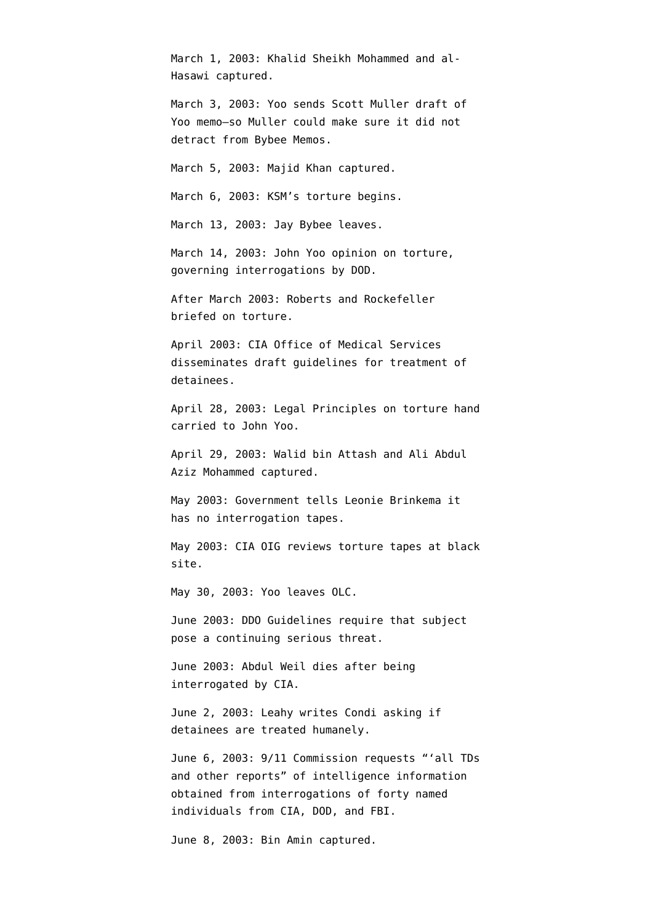March 1, 2003: Khalid Sheikh Mohammed and al-Hasawi captured.

March 3, 2003: Yoo [sends](http://judiciary.house.gov/hearings/pdf/OPRFirstReport081222.pdf) Scott Muller draft of Yoo memo–so Muller could make sure it did not detract from Bybee Memos.

March 5, 2003: Majid Khan captured.

March 6, 2003: KSM's torture [begins](http://www.washingtonpost.com/wp-dyn/content/article/2009/04/25/AR2009042503122_pf.html).

March 13, 2003: Jay Bybee leaves.

March 14, 2003: John Yoo [opinion on torture](http://www.aclu.org/pdfs/safefree/yoo_army_torture_memo.pdf), governing interrogations by DOD.

After March 2003: Roberts and Rockefeller briefed on torture.

April 2003: CIA Office of Medical Services [disseminates](http://www.aclu.org/oigreport) draft guidelines for treatment of detainees.

April 28, 2003: Legal Principles on torture hand [carried](http://www.aclu.org/torturefoia/released/082409/olcremand/2004olc17.pdf) to John Yoo.

April 29, 2003: Walid bin Attash and Ali Abdul Aziz Mohammed captured.

May 2003: Government tells Leonie Brinkema it has no interrogation tapes.

May 2003: CIA OIG [reviews](http://emptywheel.firedoglake.com/2008/01/13/cia-inspector-general-we-never-had-any-torture-tapes/) torture tapes at black site.

May 30, 2003: Yoo leaves OLC.

June 2003: DDO Guidelines [require](http://www.aclu.org/oigreport) that subject pose a continuing serious threat.

June 2003: Abdul Weil [dies](http://www.aclu.org/oigreport) after being interrogated by CIA.

June 2, 2003: Leahy writes Condi asking if detainees are treated humanely.

June 6, 2003: 9/11 Commission [requests](http://graphics8.nytimes.com/packages/pdf/national/20071222-INTEL-MEMO.pdf) "'all TDs and other reports" of intelligence information obtained from interrogations of forty named individuals from CIA, DOD, and FBI.

June 8, 2003: Bin Amin captured.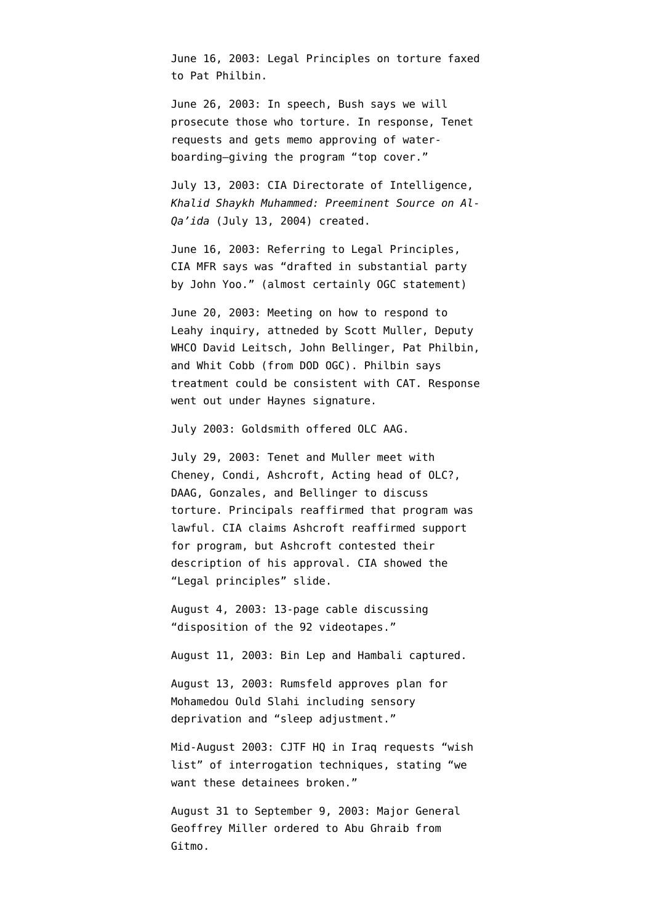June 16, 2003: Legal Principles on torture [faxed](http://www.aclu.org/torturefoia/released/082409/olcremand/2004olc19.pdf) to Pat Philbin.

June 26, 2003: In speech, Bush [says](http://web.archive.org/web/20030820132648/www.whitehouse.gov/news/releases/2003/06/20030626-3.html) we will prosecute those who torture. In response, Tenet [requests and gets](http://www.washingtonpost.com/wp-dyn/content/article/2008/10/14/AR2008101403331.html?hpid=topnews) memo approving of waterboarding–giving the program "top cover."

July 13, 2003: CIA Directorate of Intelligence, *Khalid Shaykh Muhammed: Preeminent Source on Al-Qa'ida* (July 13, 2004) [created.](http://emptywheel.firedoglake.com/2009/04/24/cheney-cherry-picks-intelligence-again/)

June 16, 2003: Referring to Legal Principles, CIA MFR [says](http://emptywheel.firedoglake.com/2009/08/25/was-john-yoo-free-lancing-when-he-approved-the-legal-principles/) was "drafted in substantial party by John Yoo." (almost certainly OGC statement)

June 20, 2003: Meeting on how to respond to Leahy inquiry, attneded by Scott Muller, Deputy WHCO David Leitsch, John Bellinger, Pat Philbin, and Whit Cobb (from DOD OGC). Philbin says treatment could be consistent with CAT. Response went out under Haynes signature.

July 2003: Goldsmith offered OLC AAG.

July 29, 2003: Tenet and Muller [meet](http://www.aclu.org/oigreport) with Cheney, Condi, Ashcroft, Acting head of OLC?, DAAG, Gonzales, and Bellinger to discuss torture. Principals reaffirmed that program was lawful. CIA claims Ashcroft reaffirmed support for program, but Ashcroft contested their description of his approval. CIA [showed](http://judiciary.house.gov/hearings/pdf/OPRFirstReport081222.pdf) the "Legal principles" slide.

August 4, 2003: 13-page cable [discussing](http://www.aclu.org/files/assets/20091120_Govt_Para_4_55_Hardcopy_Vaughn_Index.pdf) "disposition of the 92 videotapes."

August 11, 2003: Bin Lep and Hambali captured.

August 13, 2003: Rumsfeld approves plan for Mohamedou Ould Slahi including sensory deprivation and "sleep adjustment."

Mid-August 2003: CJTF HQ in Iraq [requests](http://www.aclu.org/pdfs/safefree/yoo_army_torture_memo.pdf) "wish list" of interrogation techniques, stating "we want these detainees broken."

August 31 to September 9, 2003: Major General Geoffrey Miller [ordered](http://www.npr.org/iraq/2004/prison_abuse_report.pdf) to Abu Ghraib from Gitmo.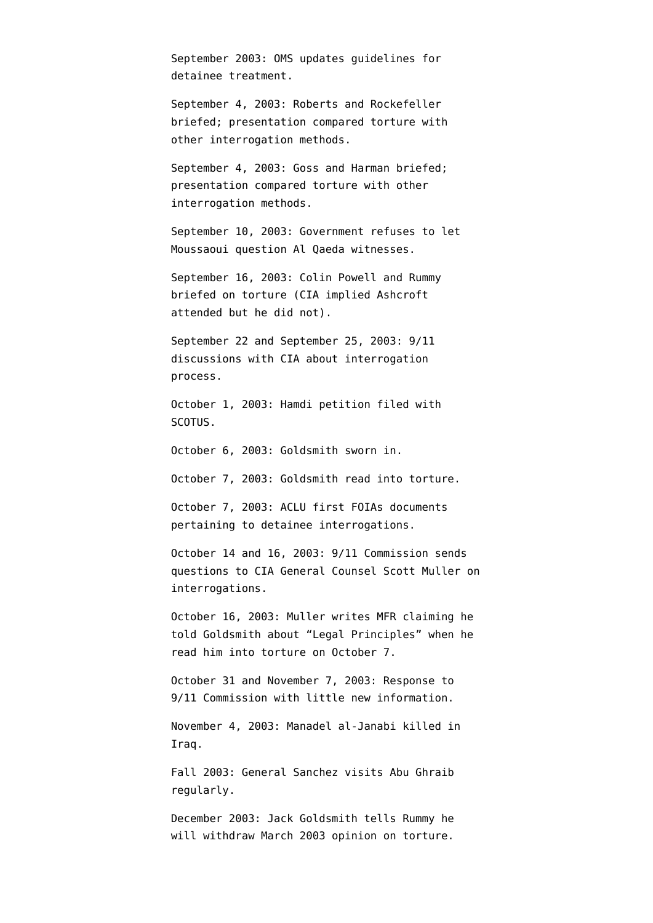September 2003: OMS [updates](http://www.aclu.org/oigreport) guidelines for detainee treatment.

September 4, 2003: Roberts and Rockefeller [briefed;](http://static1.firedoglake.com/28/files//2009/05/2009-05-06-eit-enclosure0001.pdf) presentation compared torture with other interrogation methods.

September 4, 2003: Goss and Harman [briefed](http://static1.firedoglake.com/28/files//2009/05/2009-05-06-eit-enclosure0001.pdf); presentation compared torture with other interrogation methods.

September 10, 2003: Government [refuses t](http://www.courttv.com/trials/moussaoui/091103_judge_ap.html)o let Moussaoui question Al Qaeda witnesses.

September 16, 2003: Colin Powell and Rummy briefed on torture (CIA implied Ashcroft attended but he did not).

September 22 and September 25, 2003: 9/11 discussions with CIA about interrogation process.

October 1, 2003: Hamdi petition filed with SCOTUS.

October 6, 2003: Goldsmith sworn in.

October 7, 2003: Goldsmith read into torture.

October 7, 2003: ACLU first FOIAs documents pertaining to detainee interrogations.

October 14 and 16, 2003: 9/11 Commission sends questions to CIA General Counsel Scott Muller on interrogations.

October 16, 2003: Muller writes MFR claiming he told Goldsmith about "Legal Principles" when he read him into torture on October 7.

October 31 and November 7, 2003: Response to 9/11 Commission with little new information.

November 4, 2003: Manadel al-Janabi killed in Iraq.

Fall 2003: General Sanchez visits Abu Ghraib regularly.

December 2003: Jack Goldsmith tells Rummy he will withdraw March 2003 opinion on torture.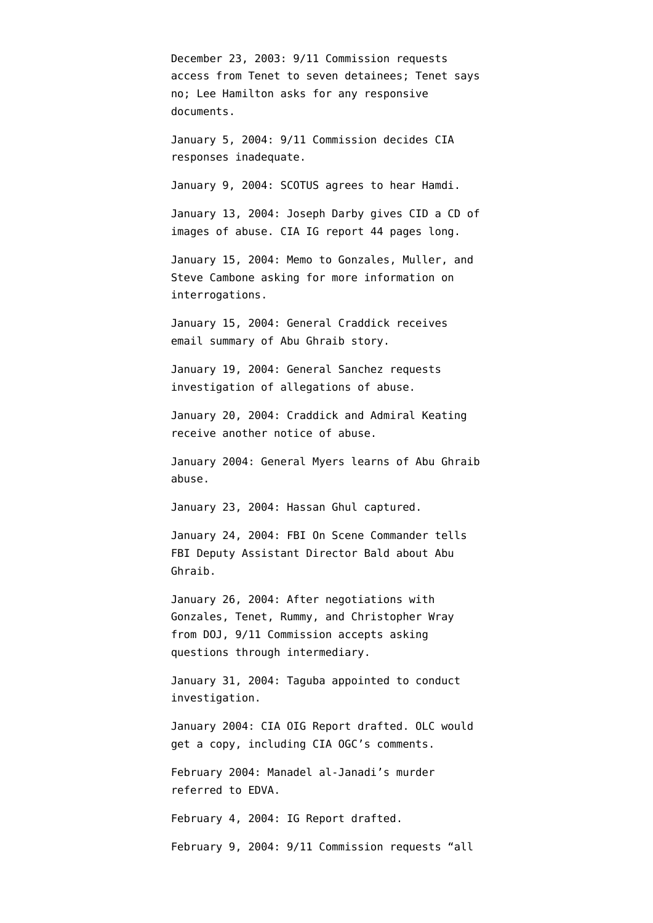December 23, 2003: 9/11 Commission requests access from Tenet to seven detainees; Tenet says no; Lee Hamilton asks for any responsive documents.

January 5, 2004: 9/11 Commission decides CIA responses inadequate.

January 9, 2004: SCOTUS [agrees](http://www.talkleft.com/story/2004/01/09/761/35284) to hear Hamdi.

January 13, 2004: Joseph Darby gives CID a CD of images of abuse. CIA IG report 44 [pages long](http://www.aclu.org/safefree/torture/40890lgl20090831.html).

January 15, 2004: Memo to Gonzales, Muller, and Steve Cambone asking for more information on interrogations.

January 15, 2004: General Craddick [receives](http://www.newyorker.com/reporting/2007/06/25/070625fa_fact_hersh) email summary of Abu Ghraib story.

January 19, 2004: General Sanchez [requests](http://www.npr.org/iraq/2004/prison_abuse_report.pdf) investigation of allegations of abuse.

January 20, 2004: Craddick and Admiral Keating receive another notice of abuse.

January 2004: General Myers learns of Abu Ghraib abuse.

January 23, 2004: Hassan Ghul captured.

January 24, 2004: FBI On Scene Commander [tells](http://www.usdoj.gov/oig/special/s0805/final.pdf) FBI Deputy Assistant Director Bald about Abu Ghraib.

January 26, 2004: After negotiations with Gonzales, Tenet, Rummy, and Christopher Wray from DOJ, 9/11 Commission accepts asking questions through intermediary.

January 31, 2004: Taguba [appointed](http://www.npr.org/iraq/2004/prison_abuse_report.pdf) to conduct investigation.

January 2004: CIA OIG Report [drafted](http://judiciary.house.gov/hearings/pdf/OPRFirstReport081222.pdf). OLC would get a copy, including CIA OGC's comments.

February 2004: Manadel al-Janadi's murder [referred](http://ccrjustice.org/files/April%202008%20release%20-%20in-parts%20Set%20A_0.pdf) to EDVA.

February 4, 2004: IG Report [drafted](http://www.aclu.org/safefree/torture/40890lgl20090831.html).

February 9, 2004: 9/11 Commission requests "all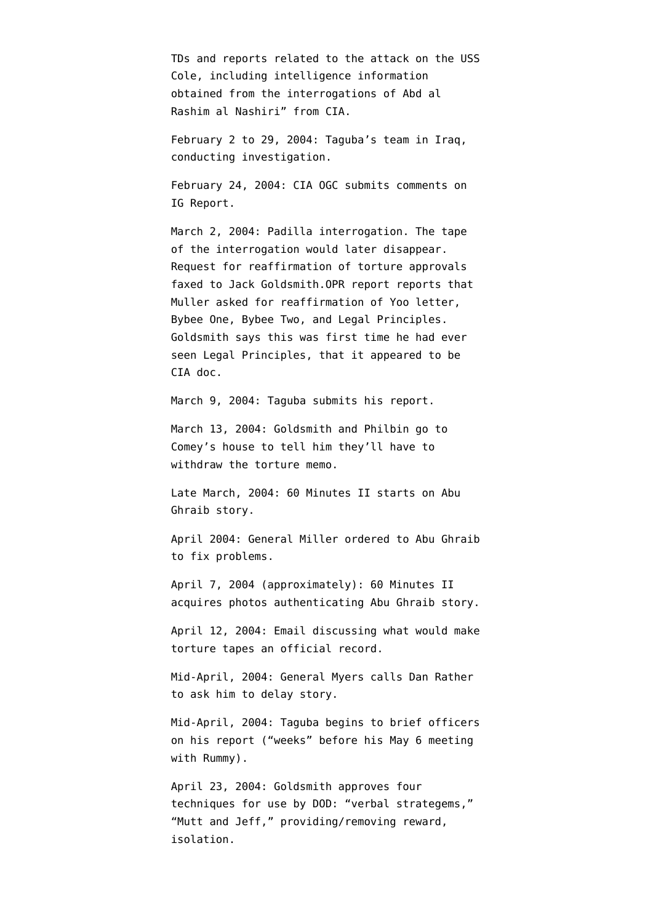TDs and reports related to the attack on the USS Cole, including intelligence information obtained from the interrogations of Abd al Rashim al Nashiri" from CIA.

February 2 to 29, 2004: Taguba's team in Iraq, conducting investigation.

February 24, 2004: CIA OGC [submits comments](http://emptywheel.firedoglake.com/2009/08/25/was-john-yoo-free-lancing-when-he-approved-the-legal-principles/) on IG Report.

March 2, 2004: Padilla interrogation. The tape of the interrogation would later disappear. Request for reaffirmation of torture approvals [faxed](http://www.aclu.org/torturefoia/released/082409/olcremand/2004olc22.pdf) to Jack Goldsmith.OPR report [reports](http://judiciary.house.gov/hearings/pdf/OPRFirstReport081222.pdf) that Muller asked for reaffirmation of Yoo letter, Bybee One, Bybee Two, and Legal Principles. Goldsmith says this was first time he had ever seen Legal Principles, that it appeared to be CIA doc.

March 9, 2004: Taguba [submits](http://www.npr.org/iraq/2004/prison_abuse_report.pdf) his report.

March 13, 2004: Goldsmith and Philbin [go to](http://judiciary.house.gov/hearings/pdf/OPRFirstReport081222.pdf) [Comey's house](http://judiciary.house.gov/hearings/pdf/OPRFirstReport081222.pdf) to tell him they'll have to withdraw the torture memo.

Late March, 2004: 60 Minutes II starts on Abu Ghraib story.

April 2004: General Miller ordered to Abu Ghraib to fix problems.

April 7, 2004 (approximately): 60 Minutes II acquires photos authenticating Abu Ghraib story.

April 12, 2004: Email [discussing](http://www.aclu.org/files/assets/20091120_Govt_Para_4_55_Hardcopy_Vaughn_Index.pdf) what would make torture tapes an official record.

Mid-April, 2004: General Myers calls Dan Rather to ask him to delay story.

Mid-April, 2004: Taguba [begins](http://www.newyorker.com/reporting/2007/06/25/070625fa_fact_hersh) to brief officers on his report ("weeks" before his May 6 meeting with Rummy).

April 23, 2004: Goldsmith [approves](http://www.aclu.org/torturefoia/released/103009/cia-olc/10.pdf) four techniques for use by DOD: "verbal strategems," "Mutt and Jeff," providing/removing reward, isolation.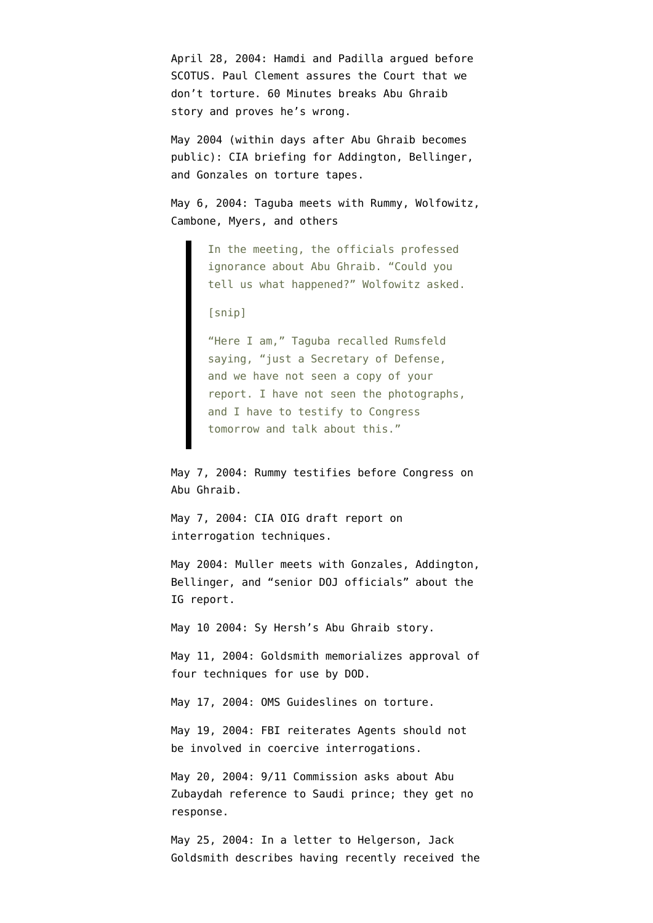April 28, 2004: Hamdi and Padilla argued before SCOTUS. Paul Clement assures the Court that we don't torture. 60 Minutes breaks [Abu Ghraib](http://www.cbsnews.com/stories/2004/04/27/60II/main614063.shtml) [story](http://www.cbsnews.com/stories/2004/04/27/60II/main614063.shtml) and proves he's wrong.

May 2004 (within days after Abu Ghraib becomes public): CIA briefing for Addington, Bellinger, and Gonzales on torture tapes.

May 6, 2004: Taguba [meets](http://www.newyorker.com/reporting/2007/06/25/070625fa_fact_hersh) with Rummy, Wolfowitz, Cambone, Myers, and others

> In the meeting, the officials professed ignorance about Abu Ghraib. "Could you tell us what happened?" Wolfowitz asked.

[snip]

"Here I am," Taguba recalled Rumsfeld saying, "just a Secretary of Defense, and we have not seen a copy of your report. I have not seen the photographs, and I have to testify to Congress tomorrow and talk about this."

May 7, 2004: Rummy testifies before Congress on Abu Ghraib.

May 7, 2004: CIA OIG [draft report](http://www.aclu.org/oigreport) on interrogation techniques.

May 2004: Muller meets with Gonzales, Addington, Bellinger, and "senior DOJ officials" about the IG report.

May 10 2004: Sy Hersh's [Abu Ghraib story.](http://www.newyorker.com/archive/2004/05/10/040510fa_fact)

May 11, 2004: Goldsmith [memorializes](http://www.aclu.org/torturefoia/released/103009/cia-olc/10.pdf) approval of four techniques for use by DOD.

May 17, 2004: OMS Guideslines on torture.

May 19, 2004: FBI [reiterates](http://www.aclu.org/torturefoia/released/103009/cia-olc/14.pdf) Agents should not be involved in coercive interrogations.

May 20, 2004: 9/11 Commission asks about Abu Zubaydah reference to Saudi prince; they get no response.

May 25, 2004: In a [letter to Helgerson,](http://www.aclu.org/torturefoia/released/082409/olcremand/2004olc26.pdf) Jack Goldsmith describes having recently received the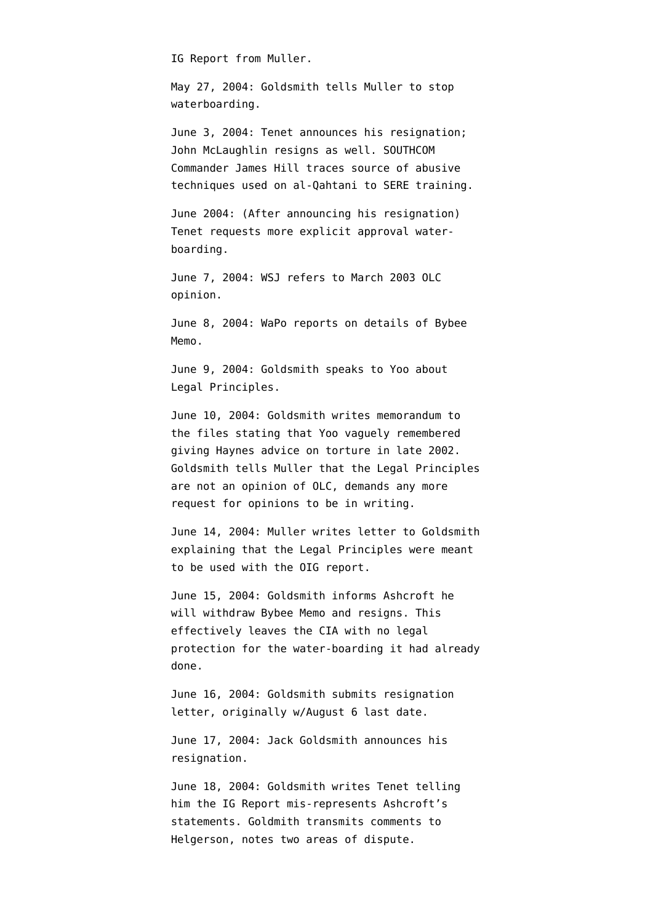IG Report from Muller.

May 27, 2004: Goldsmith [tells](http://www.aclu.org/torturefoia/released/082409/olcremand/2004olc28.pdf) Muller to stop waterboarding.

June 3, 2004: Tenet [announces](http://www.washingtonpost.com/wp-dyn/articles/A12296-2004Jun3.html) his resignation; John McLaughlin resigns as well. SOUTHCOM Commander James Hill [traces](http://armed-services.senate.gov/Publications/Detainee%20Report%20Final_April%2022%202009.pdf) source of abusive techniques used on al-Qahtani to SERE training.

June 2004: (After announcing his resignation) Tenet [requests](http://www.washingtonpost.com/wp-dyn/content/article/2008/10/14/AR2008101403331.html?hpid=topnews) more explicit approval waterboarding.

June 7, 2004: WSJ refers to March 2003 OLC opinion.

June 8, 2004: WaPo [reports](http://www.washingtonpost.com/wp-dyn/articles/A23373-2004Jun7.html) on details of Bybee Memo.

June 9, 2004: Goldsmith [speaks to](http://judiciary.house.gov/hearings/pdf/OPRFirstReport081222.pdf) Yoo about Legal Principles.

June 10, 2004: Goldsmith [writes](http://judiciary.house.gov/hearings/pdf/OPRFirstReport081222.pdf) memorandum to the files stating that Yoo vaguely remembered giving Haynes advice on torture in late 2002. Goldsmith [tells](http://www.aclu.org/torturefoia/released/082409/olcremand/2004olc29.pdf) Muller that the Legal Principles are not an opinion of OLC, demands any more request for opinions to be in writing.

June 14, 2004: Muller [writes](http://judiciary.house.gov/hearings/pdf/OPRFirstReport081222.pdf) letter to Goldsmith explaining that the Legal Principles were meant to be used with the OIG report.

June 15, 2004: Goldsmith informs Ashcroft he will withdraw Bybee Memo and resigns. This effectively leaves the CIA with no legal protection for the water-boarding it had already done.

June 16, 2004: Goldsmith [submits](http://judiciary.house.gov/hearings/pdf/OPRFirstReport081222.pdf) resignation letter, originally w/August 6 last date.

June 17, 2004: Jack Goldsmith announces his resignation.

June 18, 2004: Goldsmith [writes](http://www.aclu.org/torturefoia/released/082409/olcremand/2004olc36.pdf) Tenet telling him the IG Report mis-represents Ashcroft's statements. Goldmith [transmits](http://judiciary.house.gov/hearings/pdf/OPRFirstReport081222.pdf) comments to Helgerson, notes two areas of dispute.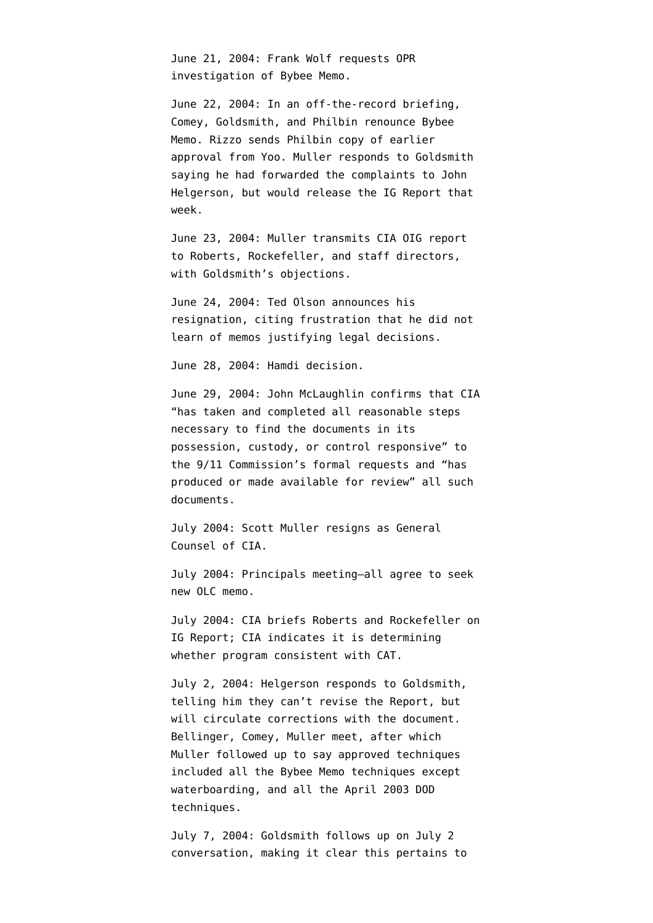June 21, 2004: Frank Wolf requests OPR investigation of Bybee Memo.

June 22, 2004: In an off-the-record briefing, Comey, Goldsmith, and Philbin renounce Bybee Memo. Rizzo [sends](http://www.aclu.org/torturefoia/released/082409/olcremand/2004olc49.pdf) Philbin copy of earlier approval from Yoo. Muller [responds](http://www.aclu.org/torturefoia/released/082409/olcremand/2004olc36.pdf) to Goldsmith saying he had forwarded the complaints to John Helgerson, but would release the IG Report that week.

June 23, 2004: Muller [transmits](http://judiciary.house.gov/hearings/pdf/OPRFirstReport081222.pdf) CIA OIG report to Roberts, Rockefeller, and staff directors, with Goldsmith's objections.

June 24, 2004: Ted Olson announces his resignation, citing frustration that he did not learn of memos justifying legal decisions.

June 28, 2004: Hamdi decision.

June 29, 2004: John McLaughlin confirms that CIA "has taken and completed all reasonable steps necessary to find the documents in its possession, custody, or control responsive" to the 9/11 Commission's formal requests and "has produced or made available for review" all such documents.

July 2004: Scott Muller [resigns](http://www.dpw.com/lawyers/bio/smuller.htm) as General Counsel of CIA.

July 2004: Principals meeting–all agree to seek new OLC memo.

July 2004: CIA briefs Roberts and Rockefeller on IG Report; CIA indicates it is determining whether program consistent with CAT.

July 2, 2004: Helgerson [responds](http://www.aclu.org/torturefoia/released/082409/olcremand/2004olc38.pdf) to Goldsmith, telling him they can't revise the Report, but will circulate corrections with the document. Bellinger, Comey, Muller meet, after which Muller [followed up](http://www.aclu.org/torturefoia/released/082409/olcremand/2004olc43.pdf) to say approved techniques included all the Bybee Memo techniques except waterboarding, and all the April 2003 DOD techniques.

July 7, 2004: Goldsmith [follows up](http://www.aclu.org/torturefoia/released/082409/olcremand/2004olc48.pdf) on July 2 conversation, making it clear this pertains to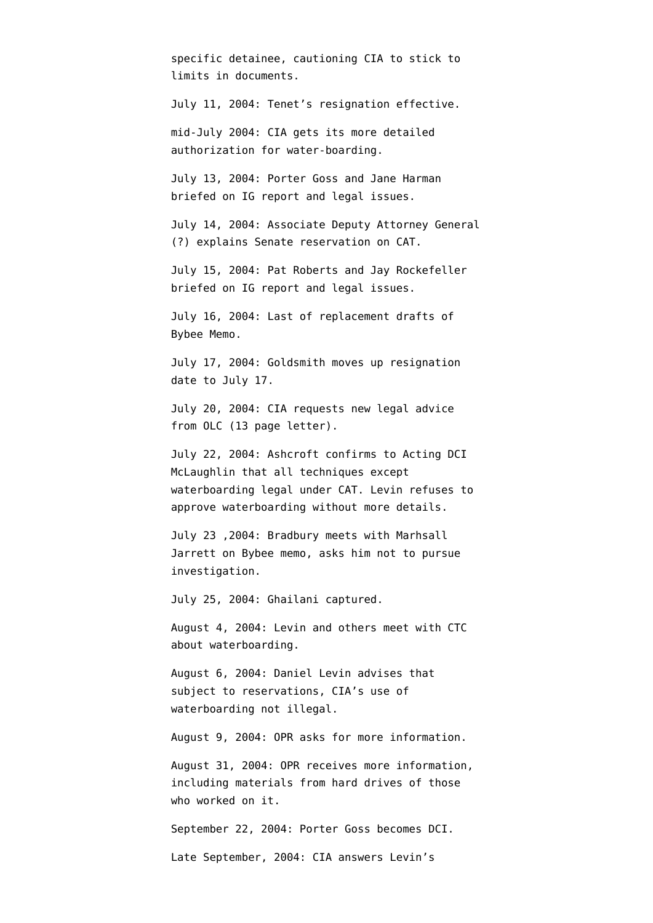specific detainee, cautioning CIA to stick to limits in documents.

July 11, 2004: Tenet's resignation effective.

mid-July 2004: CIA [gets](http://www.washingtonpost.com/wp-dyn/content/article/2008/10/14/AR2008101403331_3.html?hpid=topnews) its more detailed authorization for water-boarding.

July 13, 2004: Porter Goss and Jane Harman [briefed](http://static1.firedoglake.com/28/files//2009/05/2009-05-06-eit-enclosure0001.pdf) on IG report and legal issues.

July 14, 2004: Associate Deputy Attorney General (?) explains Senate reservation on CAT.

July 15, 2004: Pat Roberts and Jay Rockefeller [briefed](http://static1.firedoglake.com/28/files//2009/05/2009-05-06-eit-enclosure0001.pdf) on IG report and legal issues.

July 16, 2004: Last of replacement drafts of Bybee Memo.

July 17, 2004: Goldsmith [moves up](http://judiciary.house.gov/hearings/pdf/OPRFirstReport081222.pdf) resignation date to July 17.

July 20, 2004: CIA [requests](http://ccrjustice.org/files/2008-4-21%20Declaration%20of%20Ralph%20Dimaio%20-%20Exh%20A2%20-%20CIA%20docs%20released.pdf) new legal advice from OLC (13 page letter).

July 22, 2004: Ashcroft [confirms](http://emptywheel.firedoglake.com/files/28/files//2009/08/040722-ashcroft-mclaughlin.pdf) to Acting DCI McLaughlin that all techniques except waterboarding legal under CAT. Levin [refuses](http://www.aclu.org/torturefoia/released/082409/olcremand/2004olc65.pdf) to approve waterboarding without more details.

July 23 ,2004: Bradbury meets with Marhsall Jarrett on Bybee memo, asks him not to pursue investigation.

July 25, 2004: Ghailani captured.

August 4, 2004: Levin and others meet with CTC about waterboarding.

August 6, 2004: Daniel Levin [advises](http://www.aclu.org/torturefoia/released/082409/olcremand/2004olc74.pdf) that subject to reservations, CIA's use of waterboarding not illegal.

August 9, 2004: OPR asks for more information.

August 31, 2004: OPR receives more information, including materials from hard drives of those who worked on it.

September 22, 2004: Porter Goss becomes DCI.

Late September, 2004: CIA answers Levin's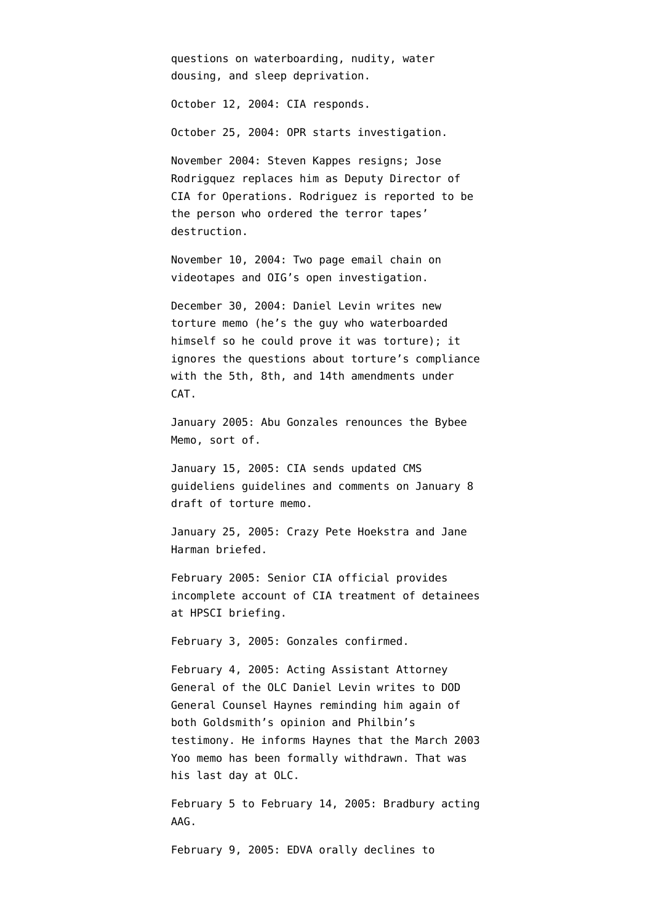questions on waterboarding, nudity, water dousing, and sleep deprivation.

October 12, 2004: CIA responds.

October 25, 2004: OPR starts investigation.

November 2004: Steven Kappes resigns; Jose Rodrigquez replaces him as Deputy Director of CIA for Operations. Rodriguez [is reported](http://news.google.com/news/url?sa=t&ct=us/0-0&fp=475a12b743eb15b6&ei=ThVaR8KsBJO4-QG0poCOAQ&url=http%3A//www.time.com/time/nation/article/0%2C8599%2C1692571%2C00.html&cid=1124562758) to be the person who ordered the terror tapes' destruction.

November 10, 2004: Two page email [chain](http://www.aclu.org/files/assets/20091120_Govt_Para_4_55_Hardcopy_Vaughn_Index.pdf) on videotapes and OIG's open investigation.

December 30, 2004: Daniel Levin writes [new](http://www.usdoj.gov/olc/18usc23402340a2.htm) [torture memo](http://www.usdoj.gov/olc/18usc23402340a2.htm) (he's the guy who waterboarded himself so he could prove it was torture); it ignores the questions about torture's compliance with the 5th, 8th, and 14th amendments under CAT.

January 2005: Abu Gonzales renounces the Bybee Memo, [sort of](http://writ.news.findlaw.com/dean/20050114.html).

January 15, 2005: CIA sends updated CMS guideliens guidelines and comments on January 8 draft of torture memo.

January 25, 2005: Crazy Pete Hoekstra and Jane Harman [briefed](http://static1.firedoglake.com/28/files//2009/05/2009-05-06-eit-enclosure0001.pdf).

February 2005: Senior CIA official provides [incomplete account](http://www.washingtonpost.com/wp-dyn/content/article/2006/05/13/AR2006051301311_pf.html) of CIA treatment of detainees at HPSCI briefing.

February 3, 2005: Gonzales confirmed.

February 4, 2005: Acting Assistant Attorney General of the OLC Daniel Levin writes to DOD General Counsel Haynes reminding him again of both Goldsmith's opinion and Philbin's testimony. He informs Haynes that the March 2003 Yoo memo has been formally withdrawn. That was his [last day](http://judiciary.house.gov/hearings/printers/110th/40743.PDF) at OLC.

February 5 to February 14, 2005: Bradbury [acting](http://judiciary.house.gov/hearings/pdf/OPRSecondReport09.pdf) AAG.

February 9, 2005: EDVA orally [declines](http://ccrjustice.org/files/April%202008%20release%20-%20in-parts%20Set%20A_0.pdf) to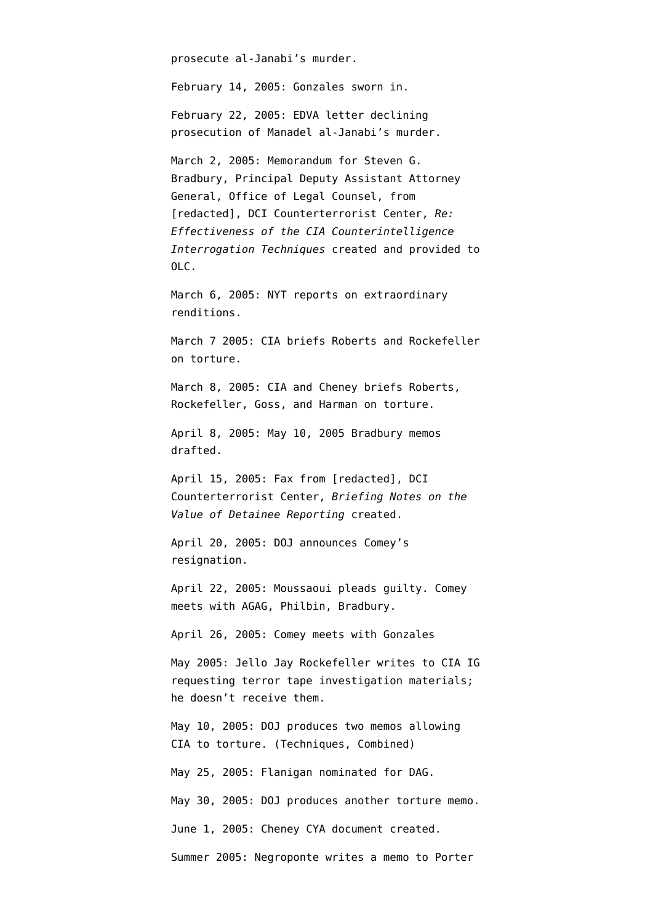prosecute al-Janabi's murder.

February 14, 2005: Gonzales sworn in.

February 22, 2005: EDVA letter [declining](http://ccrjustice.org/files/April%202008%20release%20-%20in-parts%20Set%20A_0.pdf) prosecution of Manadel al-Janabi's murder.

March 2, 2005: Memorandum for Steven G. Bradbury, Principal Deputy Assistant Attorney General, Office of Legal Counsel, from [redacted], DCI Counterterrorist Center, *Re: Effectiveness of the CIA Counterintelligence Interrogation Techniques* [created](http://stream.luxmedia501.com/?file=clients/aclu/olc_05302005_bradbury.pdf&method=dl) and [provided](http://judiciary.house.gov/hearings/pdf/OPRFirstReport081222.pdf) to OLC.

March 6, 2005: NYT [reports](http://www.nytimes.com/2005/03/06/politics/06intel.html?scp=5&sq=detainee&st=nyt) on extraordinary renditions.

March 7 2005: CIA [briefs](http://static1.firedoglake.com/28/files//2009/05/2009-05-06-eit-enclosure0001.pdf) Roberts and Rockefeller on torture.

March 8, 2005: CIA and Cheney [briefs](http://static1.firedoglake.com/28/files//2009/05/2009-05-06-eit-enclosure0001.pdf) Roberts, Rockefeller, Goss, and Harman on torture.

April 8, 2005: May 10, 2005 Bradbury memos [drafted.](http://ccrjustice.org/files/2008-4-21%20Declaration%20of%20Ralph%20Dimaio%20-%20Exh%20A1%20-%20CIA%20docs%20released.pdf)

April 15, 2005: Fax from [redacted], DCI Counterterrorist Center, *Briefing Notes on the Value of Detainee Reporting* [created](http://stream.luxmedia501.com/?file=clients/aclu/olc_05302005_bradbury.pdf&method=dl).

April 20, 2005: DOJ announces Comey's resignation.

April 22, 2005: Moussaoui pleads guilty. Comey meets with AGAG, Philbin, Bradbury.

April 26, 2005: Comey meets with Gonzales

May 2005: Jello Jay Rockefeller [writes](http://www.warandpiece.com/blogdirs/006826.html#more) to CIA IG requesting terror tape investigation materials; he doesn't receive them.

May 10, 2005: DOJ produces two memos allowing CIA to torture. ([Techniques](http://stream.luxmedia501.com/?file=clients/aclu/olc_05102005_bradbury46pg.pdf&method=dl), [Combined](http://stream.luxmedia501.com/?file=clients/aclu/olc_05102005_bradbury_20pg.pdf&method=dl))

May 25, 2005: Flanigan nominated for DAG.

May 30, 2005: DOJ [produces](http://stream.luxmedia501.com/?file=clients/aclu/olc_05302005_bradbury.pdf&method=dl) another torture memo.

June 1, 2005: Cheney CYA document [created.](http://theplumline.whorunsgov.com/wp-content/uploads/2009/04/cheney-foia.pdf)

Summer 2005: Negroponte [writes a memo](http://emptywheel.firedoglake.com/2007/12/16/isikoff-to-congress-make-sure-you-ask-for-the-negroponte-memo/) to Porter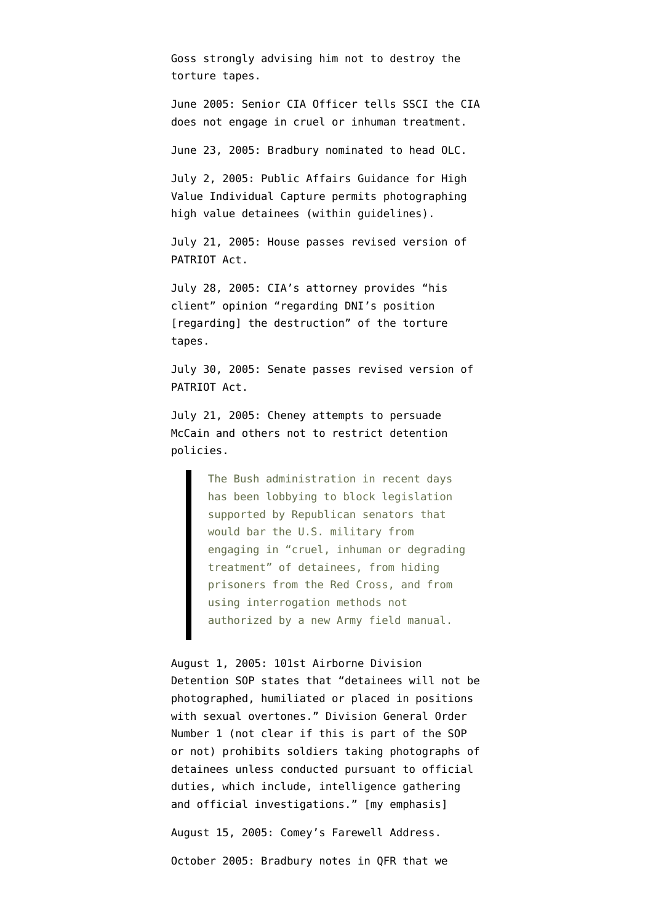Goss strongly advising him not to destroy the torture tapes.

June 2005: Senior CIA Officer [tells](http://www.washingtonpost.com/wp-dyn/content/article/2006/05/13/AR2006051301311_pf.html) SSCI the CIA does not engage in cruel or inhuman treatment.

June 23, 2005: Bradbury nominated to head OLC.

July 2, 2005: Public Affairs Guidance for High Value Individual Capture permits photographing high value detainees (within guidelines).

July 21, 2005: House passes revised version of PATRIOT Act.

July 28, 2005: CIA's attorney [provides](http://www.aclu.org/files/assets/20091120_Govt_Para_4_55_Hardcopy_Vaughn_Index.pdf) "his client" opinion "regarding DNI's position [regarding] the destruction" of the torture tapes.

July 30, 2005: Senate passes revised version of PATRIOT Act.

July 21, 2005: Cheney [attempts](http://www.washingtonpost.com/wp-dyn/content/article/2005/07/22/AR2005072201727.html) to persuade McCain and others not to restrict detention policies.

> The Bush administration in recent days has been lobbying to block legislation supported by Republican senators that would bar the U.S. military from engaging in "cruel, inhuman or degrading treatment" of detainees, from hiding prisoners from the Red Cross, and from using interrogation methods not authorized by a new Army field manual.

August 1, 2005: 101st Airborne Division Detention SOP states that "detainees will not be photographed, humiliated or placed in positions with sexual overtones." Division General Order Number 1 (not clear if this is part of the SOP or not) prohibits soldiers taking photographs of detainees unless conducted pursuant to official duties, which include, intelligence gathering and official investigations." [my emphasis]

August 15, 2005: Comey's Farewell Address.

October 2005: Bradbury notes in QFR that we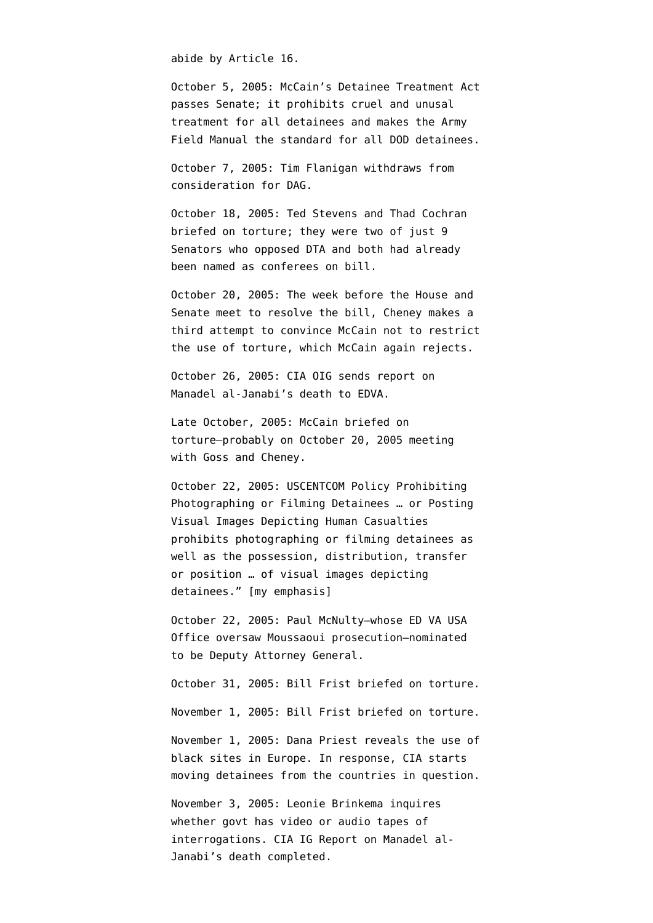abide by Article 16.

October 5, 2005: McCain's Detainee Treatment Act [passes](http://www.senate.gov/legislative/LIS/roll_call_lists/roll_call_vote_cfm.cfm?congress=109&session=1&vote=00249) Senate; it prohibits cruel and unusal treatment for all detainees and makes the Army Field Manual the standard for all DOD detainees.

October 7, 2005: Tim Flanigan withdraws from consideration for DAG.

October 18, 2005: Ted Stevens and Thad Cochran [briefed](http://static1.firedoglake.com/28/files//2009/05/2009-05-06-eit-enclosure0001.pdf) on torture; they were two of just 9 Senators who opposed DTA and both had already been named as conferees on bill.

October 20, 2005: The week before the House and Senate meet to resolve the bill, Cheney makes a [third attempt](http://www.washingtonpost.com/wp-dyn/content/article/2005/10/24/AR2005102402051.html) to convince McCain not to restrict the use of torture, which McCain again rejects.

October 26, 2005: CIA OIG [sends](http://ccrjustice.org/files/April%202008%20release%20-%20in-parts%20Set%20A_0.pdf) report on Manadel al-Janabi's death to EDVA.

Late October, 2005: McCain [briefed](http://static1.firedoglake.com/28/files//2009/05/2009-05-06-eit-enclosure0001.pdf) on torture–probably on October 20, 2005 meeting with Goss and Cheney.

October 22, 2005: USCENTCOM Policy Prohibiting Photographing or Filming Detainees … or Posting Visual Images Depicting Human Casualties prohibits photographing or filming detainees as well as the possession, distribution, transfer or position … of visual images depicting detainees." [my emphasis]

October 22, 2005: Paul McNulty–whose ED VA USA Office oversaw Moussaoui prosecution–nominated to be Deputy Attorney General.

October 31, 2005: Bill Frist [briefed](http://static1.firedoglake.com/28/files//2009/05/2009-05-06-eit-enclosure0001.pdf) on torture. November 1, 2005: Bill Frist [briefed](http://static1.firedoglake.com/28/files//2009/05/2009-05-06-eit-enclosure0001.pdf) on torture. November 1, 2005: Dana Priest [reveals](http://www.washingtonpost.com/wp-dyn/content/article/2005/11/01/AR2005110101644.html) the use of black sites in Europe. In response, CIA starts moving detainees from the countries in question.

November 3, 2005: Leonie Brinkema inquires whether govt has video or audio tapes of interrogations. CIA IG Report on Manadel al-Janabi's death [completed.](http://ccrjustice.org/files/April%202008%20release-in-parts%20Set%20F_0.pdf)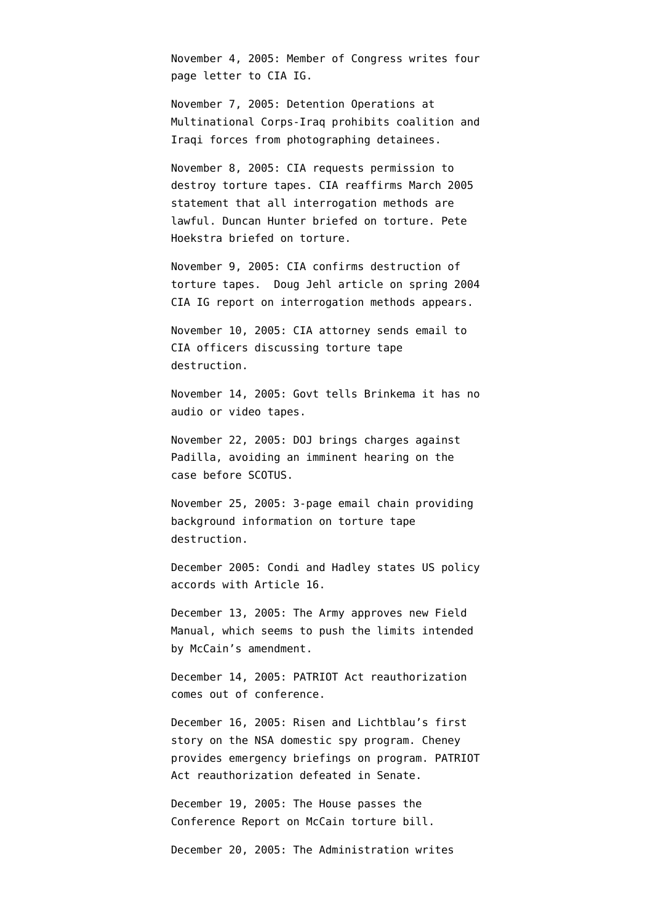November 4, 2005: Member of Congress [writes](http://ccrjustice.org/files/2008-4-21%20Declaration%20of%20Ralph%20Dimaio%20-%20Exh%20A3%20-%20CIA%20docs%20released.pdf) four page letter to CIA IG.

November 7, 2005: Detention Operations at Multinational Corps-Iraq prohibits coalition and Iraqi forces from photographing detainees.

November 8, 2005: CIA [requests](http://www.aclu.org/files/assets/20091120_Govt_Para_4_55_Hardcopy_Vaughn_Index.pdf) permission to destroy torture tapes. CIA [reaffirms](http://www.nytimes.com/2005/11/09/politics/09detain.html?pagewanted=1) March 2005 statement that all interrogation methods are lawful. Duncan Hunter [briefed](http://static1.firedoglake.com/28/files//2009/05/2009-05-06-eit-enclosure0001.pdf) on torture. Pete Hoekstra [briefed](http://static1.firedoglake.com/28/files//2009/05/2009-05-06-eit-enclosure0001.pdf) on torture.

November 9, 2005: CIA [confirms](http://www.aclu.org/files/assets/20091120_Govt_Para_4_55_Hardcopy_Vaughn_Index.pdf) destruction of torture tapes. [Doug Jehl article](http://www.nytimes.com/2005/11/09/politics/09detain.html?pagewanted=1) on spring 2004 CIA IG report on interrogation methods appears.

November 10, 2005: CIA attorney [sends](http://www.aclu.org/files/assets/20091120_Govt_Para_4_55_Hardcopy_Vaughn_Index.pdf) email to CIA officers discussing torture tape destruction.

November 14, 2005: Govt tells Brinkema it has no audio or video tapes.

November 22, 2005: DOJ [brings charges](http://www.washingtonpost.com/wp-dyn/content/article/2005/11/22/AR2005112201061.html) against Padilla, avoiding an imminent hearing on the case before SCOTUS.

November 25, 2005: 3-page email chain [providing](http://www.aclu.org/files/assets/20091120_Govt_Para_4_55_Hardcopy_Vaughn_Index.pdf) background information on torture tape destruction.

December 2005: Condi and Hadley states US policy accords with Article 16.

December 13, 2005: The Army [approves](http://select.nytimes.com/search/restricted/article?res=F00B15FC34550C778DDDAB0994DD404482) new Field Manual, which seems to push the limits intended by McCain's amendment.

December 14, 2005: PATRIOT Act reauthorization comes out of conference.

December 16, 2005: Risen and Lichtblau's first story on the NSA domestic spy program. Cheney provides emergency briefings on program. PATRIOT Act reauthorization defeated in Senate.

December 19, 2005: The House passes the Conference Report on McCain torture bill.

December 20, 2005: The Administration writes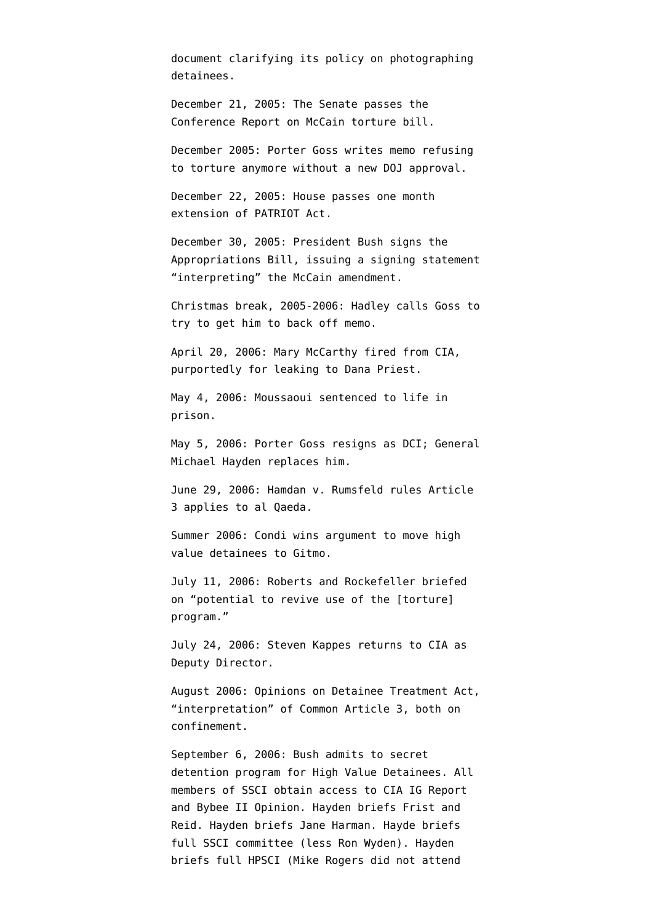document clarifying its policy on photographing detainees.

December 21, 2005: The Senate passes the Conference Report on McCain torture bill.

December 2005: Porter Goss [writes](http://www.nytimes.com/2009/05/04/us/politics/04detain.html?hp=&pagewanted=all) memo refusing to torture anymore without a new DOJ approval.

December 22, 2005: House passes one month extension of PATRIOT Act.

December 30, 2005: President Bush signs the Appropriations Bill, issuing a [signing statement](http://www.whitehouse.gov/news/releases/2005/12/20051230-8.html) "interpreting" the McCain amendment.

Christmas break, 2005-2006: Hadley [calls](http://www.nytimes.com/2009/05/04/us/politics/04detain.html?hp=&pagewanted=all) Goss to try to get him to back off memo.

April 20, 2006: Mary McCarthy fired from CIA, purportedly for leaking to Dana Priest.

May 4, 2006: Moussaoui sentenced to life in prison.

May 5, 2006: Porter Goss resigns as DCI; General Michael Hayden replaces him.

June 29, 2006: Hamdan v. Rumsfeld rules Article 3 applies to al Qaeda.

Summer 2006: Condi [wins](http://www.nytimes.com/2009/05/04/us/politics/04detain.html?hp=&pagewanted=all) argument to move high value detainees to Gitmo.

July 11, 2006: Roberts and Rockefeller [briefed](http://static1.firedoglake.com/28/files//2009/05/2009-05-06-eit-enclosure0001.pdf) on "potential to revive use of the [torture] program."

July 24, 2006: Steven Kappes returns to CIA as Deputy Director.

August 2006: Opinions on Detainee Treatment Act, "interpretation" of Common Article 3, both on confinement.

September 6, 2006: Bush [admits to](http://www.whitehouse.gov/news/releases/2006/09/20060906-3.html) secret detention program for High Value Detainees. All members of SSCI [obtain](http://intelligence.senate.gov/pdfs/olcopinion.pdf) access to CIA IG Report and Bybee II Opinion. Hayden [briefs](http://static1.firedoglake.com/28/files//2009/05/2009-05-06-eit-enclosure0001.pdf) Frist and Reid. Hayden [briefs](http://static1.firedoglake.com/28/files//2009/05/2009-05-06-eit-enclosure0001.pdf) Jane Harman. Hayde [briefs](http://static1.firedoglake.com/28/files//2009/05/2009-05-06-eit-enclosure0001.pdf) full SSCI committee (less Ron Wyden). Hayden [briefs](http://static1.firedoglake.com/28/files//2009/05/2009-05-06-eit-enclosure0001.pdf) full HPSCI (Mike Rogers did not attend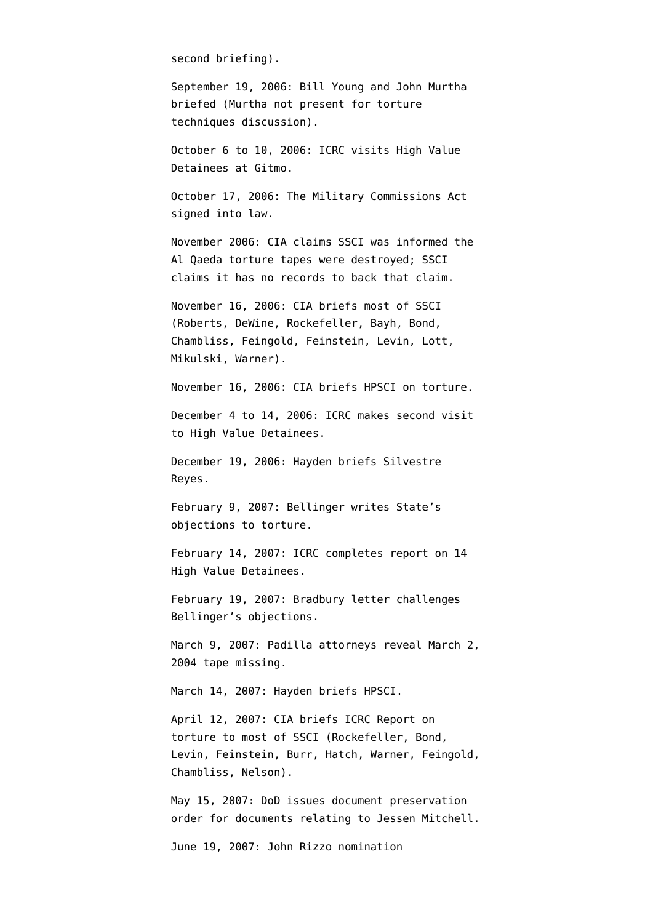second briefing).

September 19, 2006: Bill Young and John Murtha [briefed](http://static1.firedoglake.com/28/files//2009/05/2009-05-06-eit-enclosure0001.pdf) (Murtha not present for torture techniques discussion).

October 6 to 10, 2006: ICRC visits High Value Detainees at Gitmo.

October 17, 2006: The Military Commissions Act signed into law.

November 2006: CIA [claims](http://www.warandpiece.com/blogdirs/006826.html#more) SSCI was informed the Al Qaeda torture tapes were destroyed; SSCI claims it has no records to back that claim.

November 16, 2006: CIA [briefs](http://static1.firedoglake.com/28/files//2009/05/2009-05-06-eit-enclosure0001.pdf) most of SSCI (Roberts, DeWine, Rockefeller, Bayh, Bond, Chambliss, Feingold, Feinstein, Levin, Lott, Mikulski, Warner).

November 16, 2006: CIA [briefs](http://static1.firedoglake.com/28/files//2009/05/2009-05-06-eit-enclosure0001.pdf) HPSCI on torture.

December 4 to 14, 2006: ICRC makes second visit to High Value Detainees.

December 19, 2006: Hayden [briefs](http://static1.firedoglake.com/28/files//2009/05/2009-05-06-eit-enclosure0001.pdf) Silvestre Reyes.

February 9, 2007: Bellinger [writes](http://judiciary.house.gov/hearings/pdf/OPRFirstReport081222.pdf) State's objections to torture.

February 14, 2007: ICRC [completes](http://www.google.com/url?sa=t&source=web&ct=res&cd=1&url=http%3A%2F%2Fwww.nybooks.com%2Ficrc-report.pdf&ei=doXzSYaHCOCLtge098yuDw&usg=AFQjCNHXMJ6SZ1Q3LiiwnXFpNKw-jYnAiA) report on 14 High Value Detainees.

February 19, 2007: Bradbury letter [challenges](http://judiciary.house.gov/hearings/pdf/OPRFirstReport081222.pdf) Bellinger's objections.

March 9, 2007: Padilla attorneys reveal March 2, 2004 tape missing.

March 14, 2007: Hayden [briefs](http://static1.firedoglake.com/28/files//2009/05/2009-05-06-eit-enclosure0001.pdf) HPSCI.

April 12, 2007: CIA [briefs](http://static1.firedoglake.com/28/files//2009/05/2009-05-06-eit-enclosure0001.pdf) ICRC Report on torture to most of SSCI (Rockefeller, Bond, Levin, Feinstein, Burr, Hatch, Warner, Feingold, Chambliss, Nelson).

May 15, 2007: DoD [issues](http://www.salon.com/news/feature/2007/06/21/cia_sere/print.html) document preservation order for documents relating to Jessen Mitchell.

June 19, 2007: John Rizzo nomination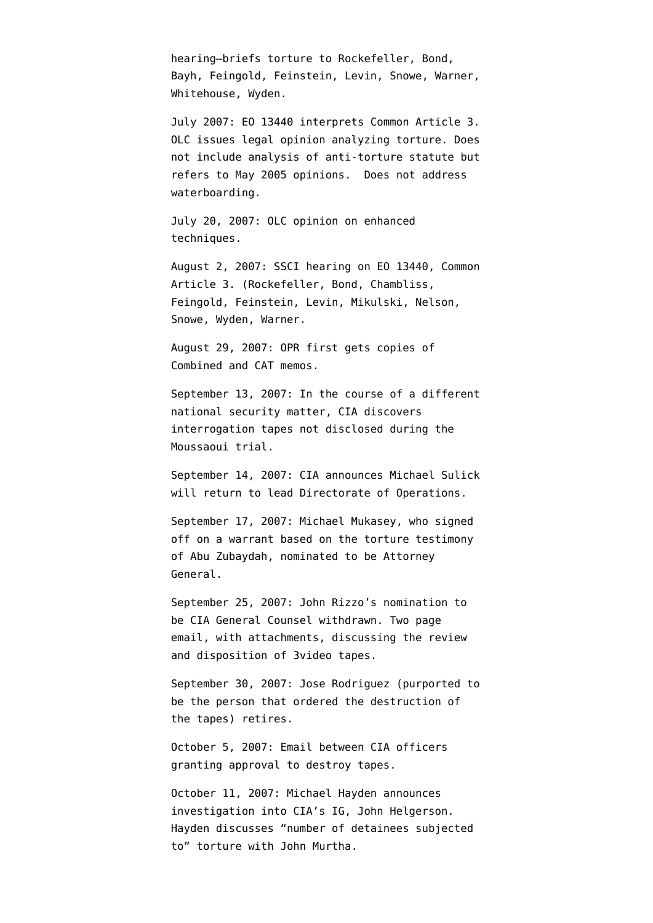hearing–[briefs](http://static1.firedoglake.com/28/files//2009/05/2009-05-06-eit-enclosure0001.pdf) torture to Rockefeller, Bond, Bayh, Feingold, Feinstein, Levin, Snowe, Warner, Whitehouse, Wyden.

July 2007: EO 13440 interprets Common Article 3. OLC issues legal opinion analyzing torture. Does not include analysis of anti-torture statute but refers to May 2005 opinions. Does not address waterboarding.

July 20, 2007: OLC [opinion](http://www.aclu.org/torturefoia/released/082409/olc/2007%20OLC%20opinion%20on%20Interrogation%20Techniques.pdf) on enhanced techniques.

August 2, 2007: SSCI [hearing](http://static1.firedoglake.com/28/files//2009/05/2009-05-06-eit-enclosure0001.pdf) on EO 13440, Common Article 3. (Rockefeller, Bond, Chambliss, Feingold, Feinstein, Levin, Mikulski, Nelson, Snowe, Wyden, Warner.

August 29, 2007: OPR first gets copies of Combined and CAT memos.

September 13, 2007: In the course of a different national security matter, CIA [discovers](http://graphics8.nytimes.com/packages/pdf/world/20071207_intel_letter.pdf) interrogation tapes not disclosed during the Moussaoui trial.

September 14, 2007: CIA [announces](http://www.nytimes.com/2007/09/15/washington/15cia.html) Michael Sulick will return to lead Directorate of Operations.

September 17, 2007: Michael Mukasey, who signed off on a warrant based on the torture testimony of Abu Zubaydah, nominated to be Attorney General.

September 25, 2007: John Rizzo's nomination to be CIA General Counsel [withdrawn.](http://www.msnbc.msn.com/id/20979794/) Two page email, with attachments, [discussing](http://www.aclu.org/files/assets/20091120_Govt_Para_4_55_Hardcopy_Vaughn_Index.pdf) the review and disposition of 3video tapes.

September 30, 2007: Jose Rodriguez (purported to be the person that ordered the destruction of the tapes) retires.

October 5, 2007: Email between CIA officers [granting](http://www.aclu.org/files/assets/20091120_Govt_Para_4_55_Hardcopy_Vaughn_Index.pdf) approval to destroy tapes.

October 11, 2007: Michael Hayden [announces](http://www.nytimes.com/2007/10/11/washington/12intel.html) [investigation](http://www.nytimes.com/2007/10/11/washington/12intel.html) into CIA's IG, John Helgerson. Hayden [discusses](http://static1.firedoglake.com/28/files//2009/05/2009-05-06-eit-enclosure0001.pdf) "number of detainees subjected to" torture with John Murtha.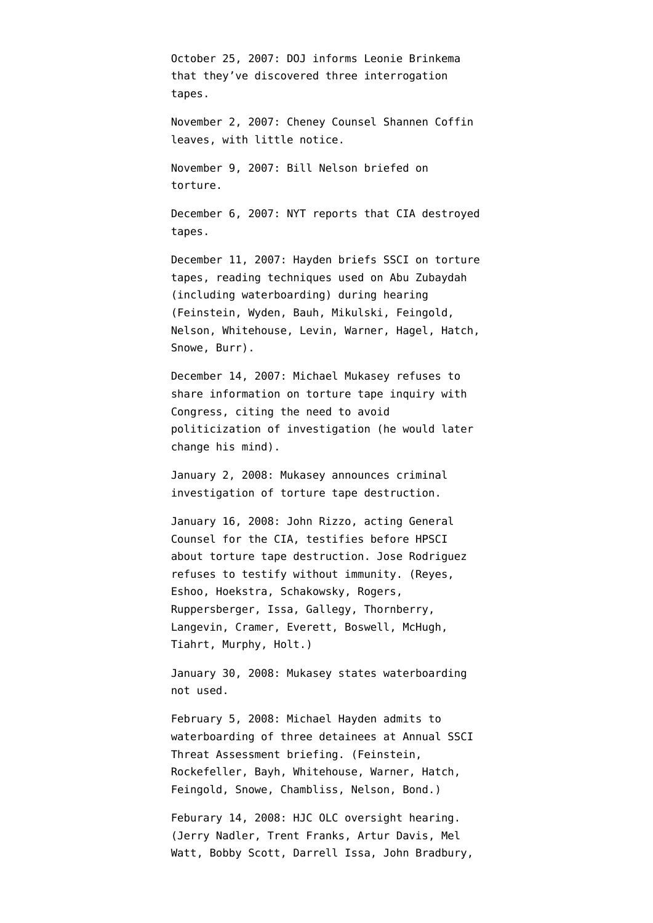October 25, 2007: DOJ [informs](http://graphics8.nytimes.com/packages/pdf/world/20071207_intel_letter.pdf) Leonie Brinkema that they've discovered three interrogation tapes.

November 2, 2007: Cheney Counsel Shannen Coffin [leaves](http://www.usnews.com/blogs/news-desk/2007/11/1/cheney-lawyer-is-leaving.html), with little notice.

November 9, 2007: Bill Nelson [briefed](http://static1.firedoglake.com/28/files//2009/05/2009-05-06-eit-enclosure0001.pdf) on torture.

December 6, 2007: NYT [reports](http://www.nytimes.com/2007/12/06/washington/06cnd-intel.html?hp) that CIA destroyed tapes.

December 11, 2007: Hayden briefs SSCI on torture tapes, reading techniques used on Abu Zubaydah (including waterboarding) during hearing (Feinstein, Wyden, Bauh, Mikulski, Feingold, Nelson, Whitehouse, Levin, Warner, Hagel, Hatch, Snowe, Burr).

December 14, 2007: Michael Mukasey [refuses](http://www.washingtonpost.com/wp-dyn/content/article/2007/12/14/AR2007121401269.html) to share information on torture tape inquiry with Congress, citing the need to avoid politicization of investigation (he would later change his mind).

January 2, 2008: Mukasey [announces](http://www.usdoj.gov/opa/pr/2008/January/08_opa_001.html) criminal investigation of torture tape destruction.

January 16, 2008: John Rizzo, acting General Counsel for the CIA, [testifies](http://www.washingtonpost.com/wp-dyn/content/article/2008/01/16/AR2008011604031.html) before HPSCI about torture tape destruction. Jose Rodriguez refuses to testify without immunity. (Reyes, Eshoo, Hoekstra, Schakowsky, Rogers, Ruppersberger, Issa, Gallegy, Thornberry, Langevin, Cramer, Everett, Boswell, McHugh, Tiahrt, Murphy, Holt.)

January 30, 2008: Mukasey states waterboarding not used.

February 5, 2008: Michael Hayden [admits](http://static1.firedoglake.com/28/files//2009/05/2009-05-06-eit-enclosure0001.pdf) to waterboarding of three detainees at Annual SSCI Threat Assessment briefing. (Feinstein, Rockefeller, Bayh, Whitehouse, Warner, Hatch, Feingold, Snowe, Chambliss, Nelson, Bond.)

Feburary 14, 2008: HJC OLC oversight [hearing](http://static1.firedoglake.com/28/files//2009/05/2009-05-06-eit-enclosure0001.pdf). (Jerry Nadler, Trent Franks, Artur Davis, Mel Watt, Bobby Scott, Darrell Issa, John Bradbury,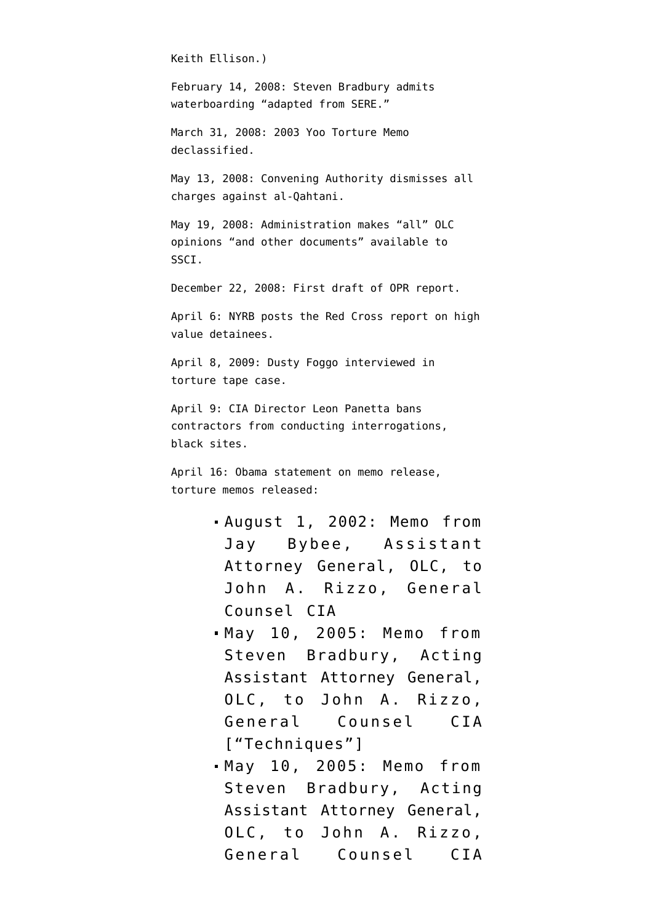Keith Ellison.)

February 14, 2008: Steven Bradbury admits waterboarding "adapted from SERE."

March 31, 2008: 2003 Yoo Torture Memo declassified.

May 13, 2008: Convening Authority dismisses all charges against al-Qahtani.

May 19, 2008: Administration [makes](http://intelligence.senate.gov/pdfs/olcopinion.pdf) "all" OLC opinions "and other documents" available to SSCI.

December 22, 2008: First draft of OPR report.

April 6: NYRB posts the [Red Cross report](http://www.nybooks.com/icrc-report.pdf) on high value detainees.

April 8, 2009: Dusty Foggo [interviewed](http://emptywheel.firedoglake.com/2009/04/02/what-does-dusty-foggo-know-about-the-torture-tapes/) in torture tape case.

April 9: CIA Director Leon Panetta [bans](http://online.wsj.com/article/SB123930070735305799.html) contractors from conducting interrogations, black sites.

April 16: Obama [statement](http://emptywheel.firedoglake.com/2009/04/16/obama-on-the-olc-memo-release/) on memo release, torture memos released:

- [August 1, 2002:](http://stream.luxmedia501.com/?file=clients/aclu/olc_08012002_bybee.pdf&method=dl) Memo from Jay Bybee, Assistant Attorney General, OLC, to John A. Rizzo, General Counsel CIA
- [May 10, 2005:](http://stream.luxmedia501.com/?file=clients/aclu/olc_05102005_bradbury46pg.pdf&method=dl) Memo from Steven Bradbury, Acting Assistant Attorney General, OLC, to John A. Rizzo, General Counsel CIA ["Techniques"]
- [May 10, 2005:](http://stream.luxmedia501.com/?file=clients/aclu/olc_05102005_bradbury_20pg.pdf&method=dl) Memo from Steven Bradbury, Acting Assistant Attorney General, OLC, to John A. Rizzo, General Counsel CIA